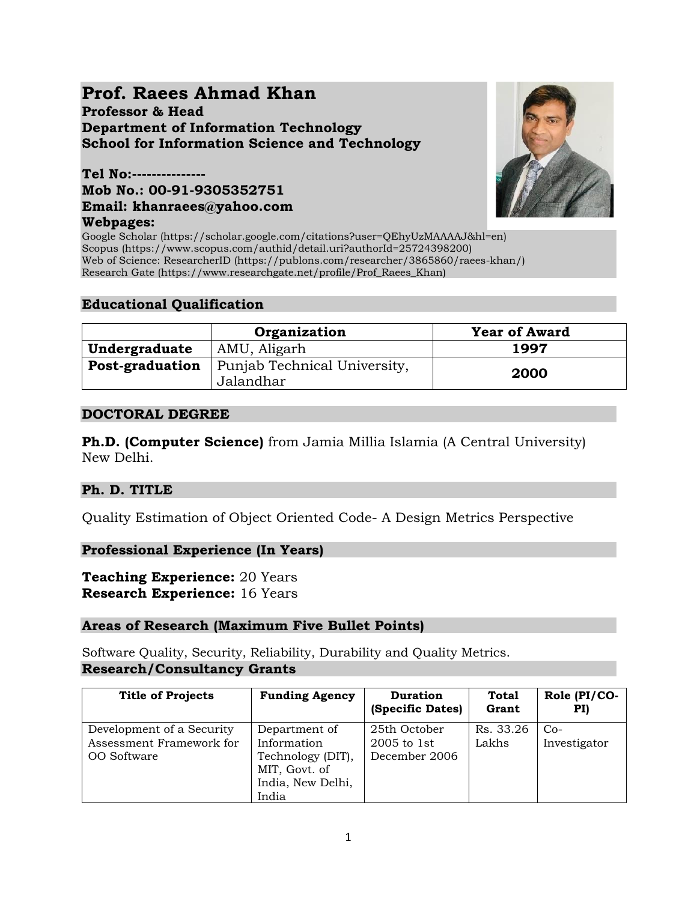# **Prof. Raees Ahmad Khan**

# **Professor & Head Department of Information Technology School for Information Science and Technology**

# **Tel No:--------------- Mob No.: 00-91-9305352751 Email: khanraees@yahoo.com Webpages:**



Google Scholar (https://scholar.google.com/citations?user=QEhyUzMAAAAJ&hl=en) Scopus (https://www.scopus.com/authid/detail.uri?authorId=25724398200) Web of Science: ResearcherID (https://publons.com/researcher/3865860/raees-khan/) Research Gate (https://www.researchgate.net/profile/Prof\_Raees\_Khan)

# **Educational Qualification**

|                 | Organization                              | <b>Year of Award</b> |  |
|-----------------|-------------------------------------------|----------------------|--|
| Undergraduate   | AMU, Aligarh                              | 1997                 |  |
| Post-graduation | Punjab Technical University,<br>Jalandhar | 2000                 |  |

# **DOCTORAL DEGREE**

**Ph.D. (Computer Science)** from Jamia Millia Islamia (A Central University) New Delhi.

# **Ph. D. TITLE**

Quality Estimation of Object Oriented Code- A Design Metrics Perspective

# **Professional Experience (In Years)**

**Teaching Experience:** 20 Years **Research Experience:** 16 Years

# **Areas of Research (Maximum Five Bullet Points)**

Software Quality, Security, Reliability, Durability and Quality Metrics. **Research/Consultancy Grants**

| <b>Title of Projects</b>                                             | <b>Funding Agency</b>                                                                            | Duration<br>(Specific Dates)                 | Total<br>Grant     | Role $(PI/CO -$<br>PI) |
|----------------------------------------------------------------------|--------------------------------------------------------------------------------------------------|----------------------------------------------|--------------------|------------------------|
| Development of a Security<br>Assessment Framework for<br>OO Software | Department of<br>Information<br>Technology (DIT),<br>MIT, Govt. of<br>India, New Delhi,<br>India | 25th October<br>2005 to 1st<br>December 2006 | Rs. 33.26<br>Lakhs | $Co-$<br>Investigator  |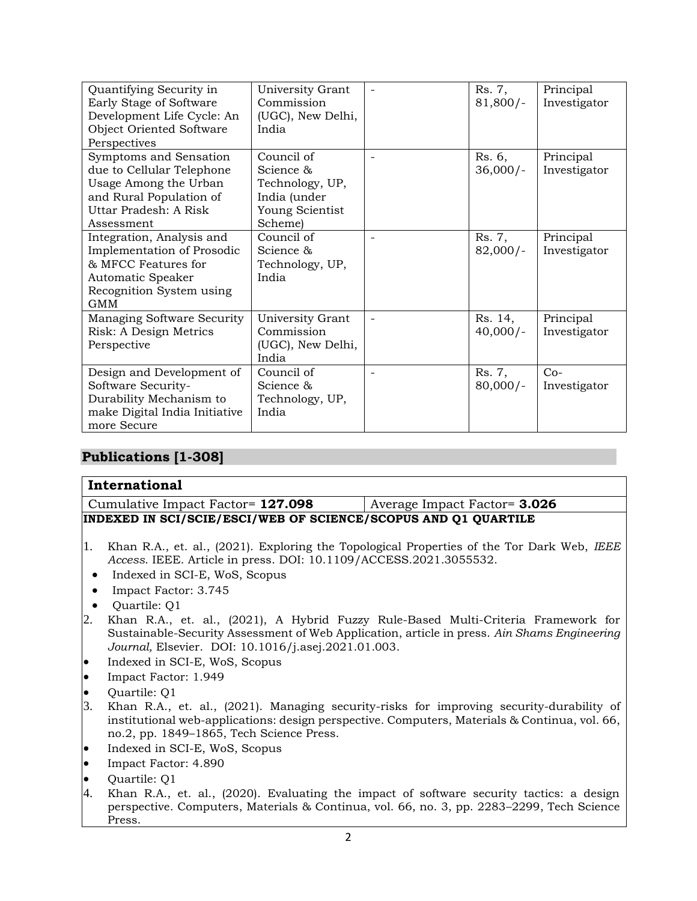| Quantifying Security in<br>Early Stage of Software<br>Development Life Cycle: An<br>Object Oriented Software<br>Perspectives                   | University Grant<br>Commission<br>(UGC), New Delhi,<br>India                             | Rs. 7,<br>$81,800/-$  | Principal<br>Investigator |
|------------------------------------------------------------------------------------------------------------------------------------------------|------------------------------------------------------------------------------------------|-----------------------|---------------------------|
| Symptoms and Sensation<br>due to Cellular Telephone<br>Usage Among the Urban<br>and Rural Population of<br>Uttar Pradesh: A Risk<br>Assessment | Council of<br>Science &<br>Technology, UP,<br>India (under<br>Young Scientist<br>Scheme) | Rs. 6,<br>$36,000/-$  | Principal<br>Investigator |
| Integration, Analysis and<br>Implementation of Prosodic<br>& MFCC Features for<br>Automatic Speaker<br>Recognition System using<br><b>GMM</b>  | Council of<br>Science &<br>Technology, UP,<br>India                                      | Rs. 7,<br>$82,000/-$  | Principal<br>Investigator |
| Managing Software Security<br>Risk: A Design Metrics<br>Perspective                                                                            | University Grant<br>Commission<br>(UGC), New Delhi,<br>India                             | Rs. 14,<br>$40,000/-$ | Principal<br>Investigator |
| Design and Development of<br>Software Security-<br>Durability Mechanism to<br>make Digital India Initiative<br>more Secure                     | Council of<br>Science &<br>Technology, UP,<br>India                                      | Rs. 7,<br>$80,000/-$  | $Co-$<br>Investigator     |

# **Publications [1-308]**

# **International**

### Cumulative Impact Factor= **127.098** Average Impact Factor= **3.026 INDEXED IN SCI/SCIE/ESCI/WEB OF SCIENCE/SCOPUS AND Q1 QUARTILE**

- 1. Khan R.A., et. al., (2021). Exploring the Topological Properties of the Tor Dark Web, *IEEE Access*. IEEE. Article in press. DOI: 10.1109/ACCESS.2021.3055532.
- Indexed in SCI-E, WoS, Scopus
- Impact Factor: 3.745
- Quartile: Q1
- 2. Khan R.A., et. al., (2021), A Hybrid Fuzzy Rule-Based Multi-Criteria Framework for Sustainable-Security Assessment of Web Application, article in press. *Ain Shams Engineering Journal,* Elsevier. DOI: 10.1016/j.asej.2021.01.003.
- Indexed in SCI-E, WoS, Scopus
- Impact Factor: 1.949
- Quartile: Q1
- 3. Khan R.A., et. al., (2021). Managing security-risks for improving security-durability of institutional web-applications: design perspective. Computers, Materials & Continua, vol. 66, no.2, pp. 1849–1865, Tech Science Press.
- Indexed in SCI-E, WoS, Scopus
- Impact Factor: 4.890
- Quartile: Q1
- 4. Khan R.A., et. al., (2020). Evaluating the impact of software security tactics: a design perspective. Computers, Materials & Continua, vol. 66, no. 3, pp. 2283–2299, Tech Science Press.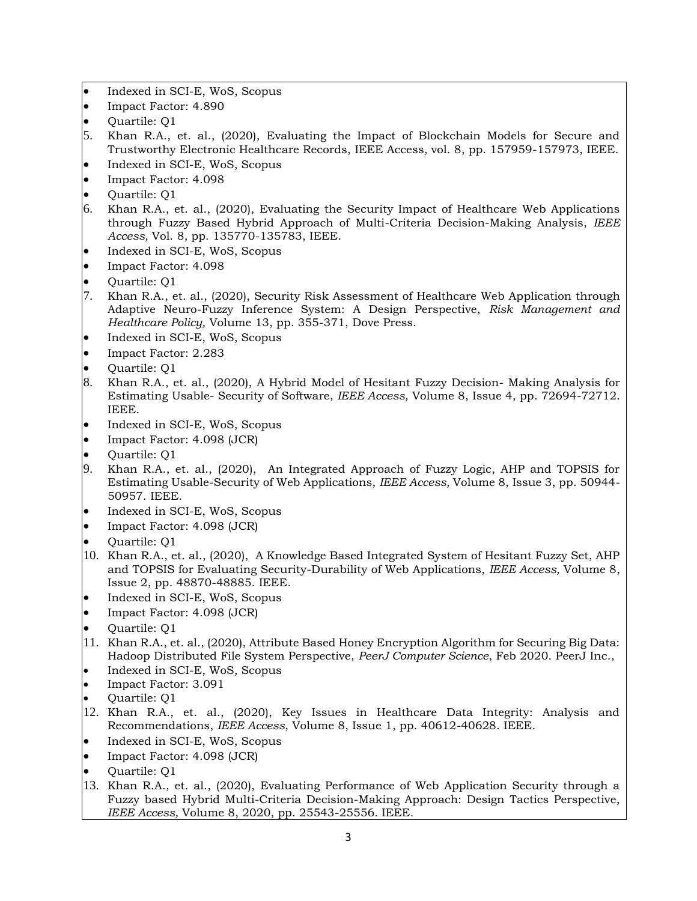- Indexed in SCI-E, WoS, Scopus
- Impact Factor: 4.890
- Quartile: Q1
- 5. Khan R.A., et. al., (2020), Evaluating the Impact of Blockchain Models for Secure and Trustworthy Electronic Healthcare Records, IEEE Access*,* vol. 8, pp. 157959-157973, IEEE.
- Indexed in SCI-E, WoS, Scopus
- Impact Factor: 4.098
- Quartile: Q1
- 6. Khan R.A., et. al., (2020), Evaluating the Security Impact of Healthcare Web Applications through Fuzzy Based Hybrid Approach of Multi-Criteria Decision-Making Analysis, *IEEE Access,* Vol. 8, pp. 135770-135783, IEEE.
- Indexed in SCI-E, WoS, Scopus
- Impact Factor: 4.098
- Quartile: Q1
- 7. Khan R.A., et. al., (2020), Security Risk Assessment of Healthcare Web Application through Adaptive Neuro-Fuzzy Inference System: A Design Perspective, *Risk Management and Healthcare Policy,* Volume 13, pp. 355-371, Dove Press.
- Indexed in SCI-E, WoS, Scopus
- Impact Factor: 2.283
- Quartile: Q1
- 8. Khan R.A., et. al., (2020), A Hybrid Model of Hesitant Fuzzy Decision- Making Analysis for Estimating Usable- Security of Software, *IEEE Access,* Volume 8, Issue 4, pp. 72694-72712. IEEE.
- Indexed in SCI-E, WoS, Scopus
- Impact Factor: 4.098 (JCR)
- Quartile: Q1
- 9. Khan R.A., et. al., (2020), An Integrated Approach of Fuzzy Logic, AHP and TOPSIS for Estimating Usable-Security of Web Applications, *IEEE Access,* Volume 8, Issue 3, pp. 50944- 50957. IEEE.
- Indexed in SCI-E, WoS, Scopus
- Impact Factor: 4.098 (JCR)
- Quartile: Q1
- 10. Khan R.A., et. al., (2020), A Knowledge Based Integrated System of Hesitant Fuzzy Set, AHP and TOPSIS for Evaluating Security-Durability of Web Applications, *IEEE Access,* Volume 8, Issue 2, pp. 48870-48885. IEEE.
- Indexed in SCI-E, WoS, Scopus
- Impact Factor: 4.098 (JCR)
- Quartile: Q1
- 11. Khan R.A., et. al., (2020), Attribute Based Honey Encryption Algorithm for Securing Big Data: Hadoop Distributed File System Perspective, *PeerJ Computer Science*, Feb 2020. PeerJ Inc.,
- Indexed in SCI-E, WoS, Scopus
- Impact Factor: 3.091
- Quartile: Q1
- 12. Khan R.A., et. al., (2020), Key Issues in Healthcare Data Integrity: Analysis and Recommendations, *IEEE Access*, Volume 8, Issue 1, pp. 40612-40628. IEEE.
- Indexed in SCI-E, WoS, Scopus
- Impact Factor: 4.098 (JCR)
- Quartile: Q1
- 13. Khan R.A., et. al., (2020), Evaluating Performance of Web Application Security through a Fuzzy based Hybrid Multi-Criteria Decision-Making Approach: Design Tactics Perspective, *IEEE Access,* Volume 8, 2020, pp. 25543-25556. IEEE.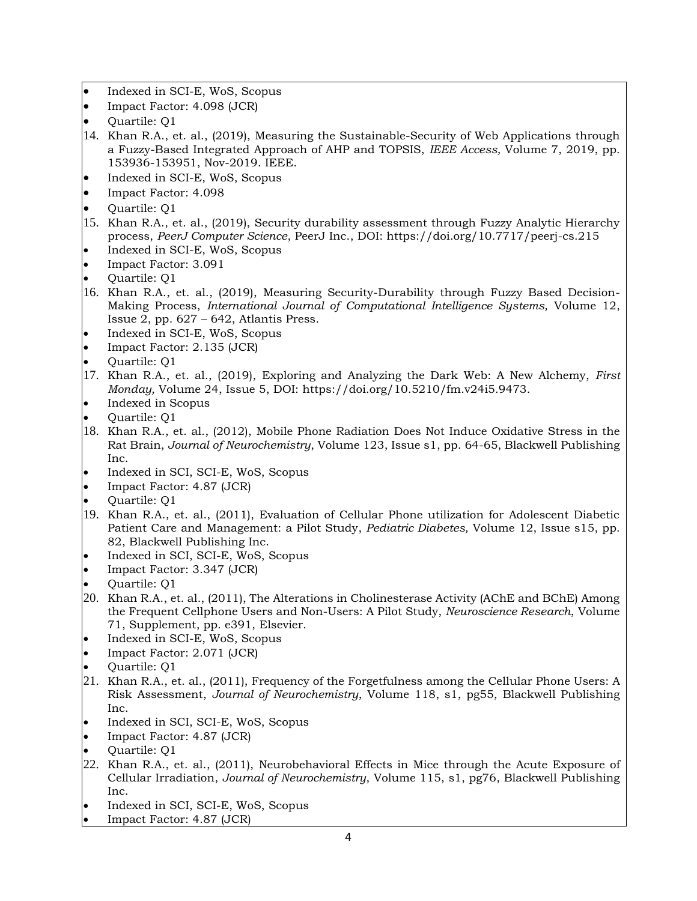- Indexed in SCI-E, WoS, Scopus
- Impact Factor: 4.098 (JCR)
- Quartile: Q1
- 14. Khan R.A., et. al., (2019), Measuring the Sustainable-Security of Web Applications through a Fuzzy-Based Integrated Approach of AHP and TOPSIS, *IEEE Access,* Volume 7, 2019, pp. 153936-153951, Nov-2019. IEEE.
- Indexed in SCI-E, WoS, Scopus
- Impact Factor: 4.098
- Quartile: Q1
- 15. Khan R.A., et. al., (2019), Security durability assessment through Fuzzy Analytic Hierarchy process, *PeerJ Computer Science*, PeerJ Inc., DOI: https://doi.org/10.7717/peerj-cs.215
- Indexed in SCI-E, WoS, Scopus
- Impact Factor: 3.091
- Quartile: Q1
- 16. Khan R.A., et. al., (2019), Measuring Security-Durability through Fuzzy Based Decision-Making Process, *International Journal of Computational Intelligence Systems,* Volume 12, Issue 2, pp. 627 – 642, Atlantis Press.
- Indexed in SCI-E, WoS, Scopus
- Impact Factor: 2.135 (JCR)
- Quartile: Q1
- 17. Khan R.A., et. al., (2019), Exploring and Analyzing the Dark Web: A New Alchemy, *First Monday,* Volume 24, Issue 5, DOI: https://doi.org/10.5210/fm.v24i5.9473.
- Indexed in Scopus
- Quartile: Q1
- 18. Khan R.A., et. al., (2012), Mobile Phone Radiation Does Not Induce Oxidative Stress in the Rat Brain, *Journal of Neurochemistry*, Volume 123, Issue s1, pp. 64-65, Blackwell Publishing Inc.
- Indexed in SCI, SCI-E, WoS, Scopus
- Impact Factor: 4.87 (JCR)
- Quartile: Q1
- 19. Khan R.A., et. al., (2011), Evaluation of Cellular Phone utilization for Adolescent Diabetic Patient Care and Management: a Pilot Study, *Pediatric Diabetes,* Volume 12, Issue s15, pp. 82, Blackwell Publishing Inc.
- Indexed in SCI, SCI-E, WoS, Scopus
- Impact Factor: 3.347 (JCR)
- Quartile: Q1
- 20. Khan R.A., et. al., (2011), The Alterations in Cholinesterase Activity (AChE and BChE) Among the Frequent Cellphone Users and Non-Users: A Pilot Study, *Neuroscience Research*, Volume 71, Supplement, pp. e391, Elsevier.
- Indexed in SCI-E, WoS, Scopus
- Impact Factor: 2.071 (JCR)
- Quartile: Q1
- 21. Khan R.A., et. al., (2011), Frequency of the Forgetfulness among the Cellular Phone Users: A Risk Assessment, *Journal of Neurochemistry*, Volume 118, s1, pg55, Blackwell Publishing Inc.
- Indexed in SCI, SCI-E, WoS, Scopus
- Impact Factor: 4.87 (JCR)
- Quartile: Q1
- 22. Khan R.A., et. al., (2011), Neurobehavioral Effects in Mice through the Acute Exposure of Cellular Irradiation, *Journal of Neurochemistry*, Volume 115, s1, pg76, Blackwell Publishing Inc.
- Indexed in SCI, SCI-E, WoS, Scopus
- Impact Factor: 4.87 (JCR)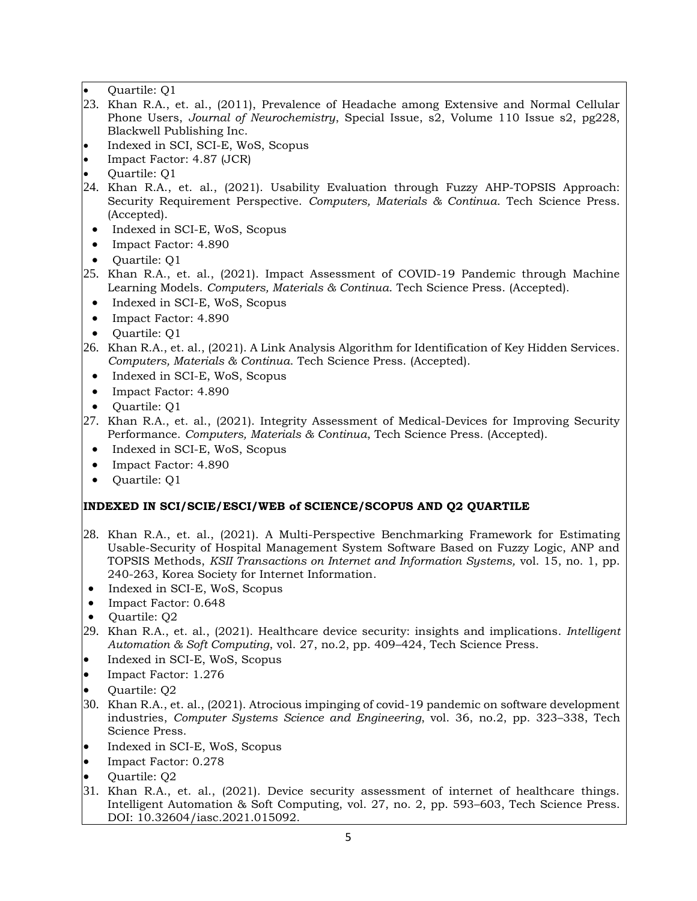• Quartile: Q1

- 23. Khan R.A., et. al., (2011), Prevalence of Headache among Extensive and Normal Cellular Phone Users, *Journal of Neurochemistry*, Special Issue, s2, Volume 110 Issue s2, pg228, Blackwell Publishing Inc.
- Indexed in SCI, SCI-E, WoS, Scopus
- Impact Factor: 4.87 (JCR)
- Quartile: Q1
- 24. Khan R.A., et. al., (2021). Usability Evaluation through Fuzzy AHP-TOPSIS Approach: Security Requirement Perspective. *Computers, Materials & Continua*. Tech Science Press. (Accepted).
- Indexed in SCI-E, WoS, Scopus
- Impact Factor: 4.890
- Quartile: Q1
- 25. Khan R.A., et. al., (2021). Impact Assessment of COVID-19 Pandemic through Machine Learning Models. *Computers, Materials & Continua*. Tech Science Press. (Accepted).
- Indexed in SCI-E, WoS, Scopus
- Impact Factor: 4.890
- Quartile: Q1
- 26. Khan R.A., et. al., (2021). A Link Analysis Algorithm for Identification of Key Hidden Services. *Computers, Materials & Continua*. Tech Science Press. (Accepted).
- Indexed in SCI-E, WoS, Scopus
- Impact Factor: 4.890
- Quartile: Q1
- 27. Khan R.A., et. al., (2021). Integrity Assessment of Medical-Devices for Improving Security Performance. *Computers, Materials & Continua*, Tech Science Press. (Accepted).
- Indexed in SCI-E, WoS, Scopus
- Impact Factor: 4.890
- Quartile: Q1

#### **INDEXED IN SCI/SCIE/ESCI/WEB of SCIENCE/SCOPUS AND Q2 QUARTILE**

- 28. Khan R.A., et. al., (2021). A Multi-Perspective Benchmarking Framework for Estimating Usable-Security of Hospital Management System Software Based on Fuzzy Logic, ANP and TOPSIS Methods, *KSII Transactions on Internet and Information Systems,* vol. 15, no. 1, pp. 240-263, Korea Society for Internet Information.
- Indexed in SCI-E, WoS, Scopus
- Impact Factor: 0.648
- Quartile: Q2
- 29. Khan R.A., et. al., (2021). Healthcare device security: insights and implications. *Intelligent Automation & Soft Computing*, vol. 27, no.2, pp. 409–424, Tech Science Press.
- Indexed in SCI-E, WoS, Scopus
- Impact Factor: 1.276
- Quartile: Q2
- 30. Khan R.A., et. al., (2021). Atrocious impinging of covid-19 pandemic on software development industries, *Computer Systems Science and Engineering*, vol. 36, no.2, pp. 323–338, Tech Science Press.
- Indexed in SCI-E, WoS, Scopus
- Impact Factor: 0.278
- Quartile: Q2
- 31. Khan R.A., et. al., (2021). Device security assessment of internet of healthcare things. Intelligent Automation & Soft Computing, vol. 27, no. 2, pp. 593–603, Tech Science Press. DOI: 10.32604/iasc.2021.015092.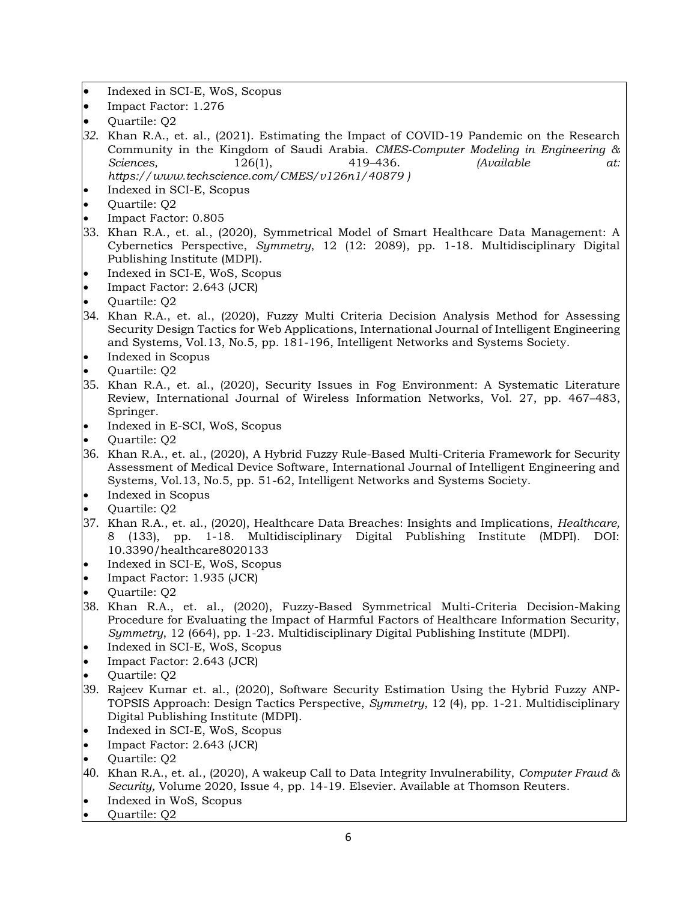- Indexed in SCI-E, WoS, Scopus
- Impact Factor: 1.276
- Quartile: Q2
- *32.* Khan R.A., et. al., (2021). Estimating the Impact of COVID-19 Pandemic on the Research Community in the Kingdom of Saudi Arabia. *CMES-Computer Modeling in Engineering & Sciences,* 126(1), 419–436. *(Available at: https://www.techscience.com/CMES/v126n1/40879 )*
- Indexed in SCI-E, Scopus
- Quartile: Q2
- Impact Factor: 0.805
- 33. Khan R.A., et. al., (2020), Symmetrical Model of Smart Healthcare Data Management: A Cybernetics Perspective, *Symmetry*, 12 (12: 2089), pp. 1-18. Multidisciplinary Digital Publishing Institute (MDPI).
- Indexed in SCI-E, WoS, Scopus
- Impact Factor: 2.643 (JCR)
- Quartile: Q2
- 34. Khan R.A., et. al., (2020), Fuzzy Multi Criteria Decision Analysis Method for Assessing Security Design Tactics for Web Applications, International Journal of Intelligent Engineering and Systems*,* Vol.13, No.5, pp. 181-196, Intelligent Networks and Systems Society.
- Indexed in Scopus
- Quartile: Q2
- 35. Khan R.A., et. al., (2020), Security Issues in Fog Environment: A Systematic Literature Review, International Journal of Wireless Information Networks, Vol. 27, pp. 467–483, Springer.
- Indexed in E-SCI, WoS, Scopus
- Quartile: Q2
- 36. Khan R.A., et. al., (2020), A Hybrid Fuzzy Rule-Based Multi-Criteria Framework for Security Assessment of Medical Device Software, International Journal of Intelligent Engineering and Systems*,* Vol.13, No.5, pp. 51-62, Intelligent Networks and Systems Society.
- Indexed in Scopus
- Quartile: Q2
- 37. Khan R.A., et. al., (2020), Healthcare Data Breaches: Insights and Implications, *Healthcare,*  8 (133), pp. 1-18. Multidisciplinary Digital Publishing Institute (MDPI). DOI: 10.3390/healthcare8020133
- Indexed in SCI-E, WoS, Scopus
- Impact Factor: 1.935 (JCR)
- Quartile: Q2
- 38. Khan R.A., et. al., (2020), Fuzzy-Based Symmetrical Multi-Criteria Decision-Making Procedure for Evaluating the Impact of Harmful Factors of Healthcare Information Security, *Symmetry*, 12 (664), pp. 1-23. Multidisciplinary Digital Publishing Institute (MDPI).
- Indexed in SCI-E, WoS, Scopus
- Impact Factor: 2.643 (JCR)
- Quartile: Q2
- 39. Rajeev Kumar et. al., (2020), Software Security Estimation Using the Hybrid Fuzzy ANP-TOPSIS Approach: Design Tactics Perspective, *Symmetry*, 12 (4), pp. 1-21. Multidisciplinary Digital Publishing Institute (MDPI).
- Indexed in SCI-E, WoS, Scopus
- Impact Factor: 2.643 (JCR)
- Quartile: Q2
- 40. Khan R.A., et. al., (2020), A wakeup Call to Data Integrity Invulnerability, *Computer Fraud & Security,* Volume 2020, Issue 4, pp. 14-19. Elsevier. Available at Thomson Reuters.
- Indexed in WoS, Scopus
- Quartile: Q2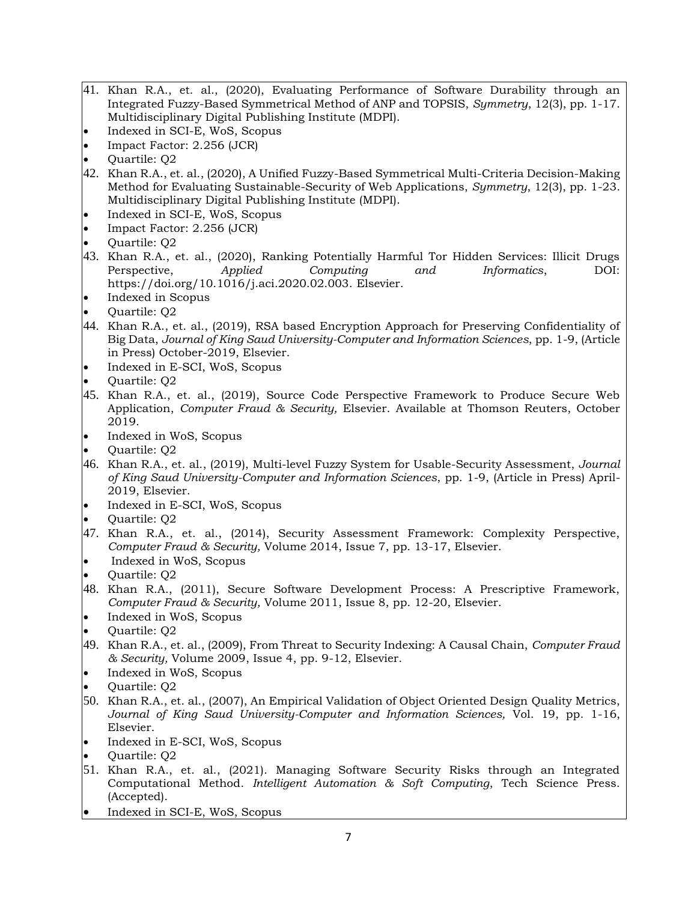- 41. Khan R.A., et. al., (2020), Evaluating Performance of Software Durability through an Integrated Fuzzy-Based Symmetrical Method of ANP and TOPSIS, *Symmetry*, 12(3), pp. 1-17. Multidisciplinary Digital Publishing Institute (MDPI).
- Indexed in SCI-E, WoS, Scopus
- Impact Factor: 2.256 (JCR)
- Quartile: Q2
- 42. Khan R.A., et. al., (2020), A Unified Fuzzy-Based Symmetrical Multi-Criteria Decision-Making Method for Evaluating Sustainable-Security of Web Applications, *Symmetry*, 12(3), pp. 1-23. Multidisciplinary Digital Publishing Institute (MDPI).
- Indexed in SCI-E, WoS, Scopus
- Impact Factor: 2.256 (JCR)
- Quartile: Q2
- 43. Khan R.A., et. al., (2020), Ranking Potentially Harmful Tor Hidden Services: Illicit Drugs Perspective, *Applied Computing and Informatics*, DOI: https://doi.org/10.1016/j.aci.2020.02.003. Elsevier.
- Indexed in Scopus
- Quartile: Q2
- 44. Khan R.A., et. al., (2019), RSA based Encryption Approach for Preserving Confidentiality of Big Data, *Journal of King Saud University-Computer and Information Sciences*, pp. 1-9, (Article in Press) October-2019, Elsevier.
- Indexed in E-SCI, WoS, Scopus
- Quartile: Q2
- 45. Khan R.A., et. al., (2019), Source Code Perspective Framework to Produce Secure Web Application, *Computer Fraud & Security,* Elsevier. Available at Thomson Reuters, October 2019.
- Indexed in WoS, Scopus
- Quartile: Q2
- 46. Khan R.A., et. al., (2019), Multi-level Fuzzy System for Usable-Security Assessment, *Journal of King Saud University-Computer and Information Sciences*, pp. 1-9, (Article in Press) April-2019, Elsevier.
- Indexed in E-SCI, WoS, Scopus
- Quartile: Q2
- 47. Khan R.A., et. al., (2014), Security Assessment Framework: Complexity Perspective, *Computer Fraud & Security,* Volume 2014, Issue 7, pp. 13-17, Elsevier.
- Indexed in WoS, Scopus
- Quartile: Q2
- 48. Khan R.A., (2011), Secure Software Development Process: A Prescriptive Framework, *Computer Fraud & Security,* Volume 2011, Issue 8, pp. 12-20, Elsevier.
- Indexed in WoS, Scopus
- Quartile: Q2
- 49. Khan R.A., et. al., (2009), From Threat to Security Indexing: A Causal Chain, *Computer Fraud & Security,* Volume 2009, Issue 4, pp. 9-12, Elsevier.
- Indexed in WoS, Scopus
- Quartile: Q2
- 50. Khan R.A., et. al., (2007), An Empirical Validation of Object Oriented Design Quality Metrics, *Journal of King Saud University-Computer and Information Sciences,* Vol. 19, pp. 1-16, Elsevier.
- Indexed in E-SCI, WoS, Scopus
- Quartile: Q2
- 51. Khan R.A., et. al., (2021). Managing Software Security Risks through an Integrated Computational Method. *Intelligent Automation & Soft Computing*, Tech Science Press. (Accepted).
- Indexed in SCI-E, WoS, Scopus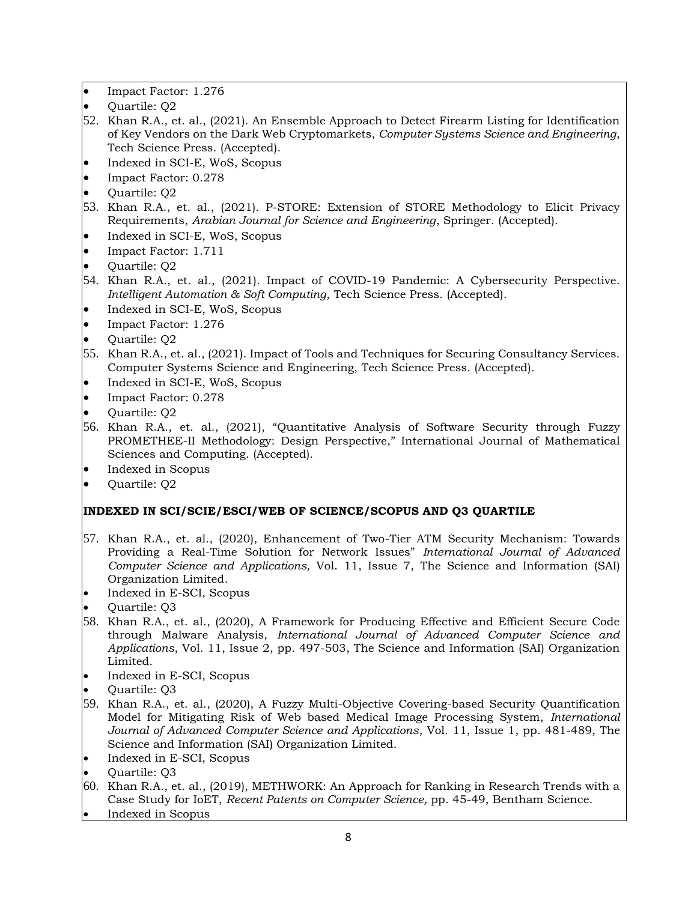- Impact Factor: 1.276
- Quartile: Q2
- 52. Khan R.A., et. al., (2021). An Ensemble Approach to Detect Firearm Listing for Identification of Key Vendors on the Dark Web Cryptomarkets, *Computer Systems Science and Engineering*, Tech Science Press. (Accepted).
- Indexed in SCI-E, WoS, Scopus
- Impact Factor: 0.278
- Quartile: Q2
- 53. Khan R.A., et. al., (2021). P-STORE: Extension of STORE Methodology to Elicit Privacy Requirements, *Arabian Journal for Science and Engineering*, Springer. (Accepted).
- Indexed in SCI-E, WoS, Scopus
- Impact Factor: 1.711
- Quartile: Q2
- 54. Khan R.A., et. al., (2021). Impact of COVID-19 Pandemic: A Cybersecurity Perspective. *Intelligent Automation & Soft Computing*, Tech Science Press. (Accepted).
- Indexed in SCI-E, WoS, Scopus
- Impact Factor: 1.276
- Quartile: Q2
- 55. Khan R.A., et. al., (2021). Impact of Tools and Techniques for Securing Consultancy Services. Computer Systems Science and Engineering, Tech Science Press. (Accepted).
- Indexed in SCI-E, WoS, Scopus
- Impact Factor: 0.278
- Quartile: Q2
- 56. Khan R.A., et. al., (2021), "Quantitative Analysis of Software Security through Fuzzy PROMETHEE-II Methodology: Design Perspective," International Journal of Mathematical Sciences and Computing. (Accepted).
- Indexed in Scopus
- Quartile: Q2

#### **INDEXED IN SCI/SCIE/ESCI/WEB OF SCIENCE/SCOPUS AND Q3 QUARTILE**

- 57. Khan R.A., et. al., (2020), Enhancement of Two-Tier ATM Security Mechanism: Towards Providing a Real-Time Solution for Network Issues" *International Journal of Advanced Computer Science and Applications,* Vol. 11, Issue 7, The Science and Information (SAI) Organization Limited.
- Indexed in E-SCI, Scopus

- 58. Khan R.A., et. al., (2020), A Framework for Producing Effective and Efficient Secure Code through Malware Analysis, *International Journal of Advanced Computer Science and Applications*, Vol. 11, Issue 2, pp. 497-503, The Science and Information (SAI) Organization Limited.
- Indexed in E-SCI, Scopus
- Quartile: Q3
- 59. Khan R.A., et. al., (2020), A Fuzzy Multi-Objective Covering-based Security Quantification Model for Mitigating Risk of Web based Medical Image Processing System, *International Journal of Advanced Computer Science and Applications*, Vol. 11, Issue 1, pp. 481-489, The Science and Information (SAI) Organization Limited.
- Indexed in E-SCI, Scopus

- 60. Khan R.A., et. al., (2019), METHWORK: An Approach for Ranking in Research Trends with a Case Study for IoET, *Recent Patents on Computer Science,* pp. 45-49, Bentham Science.
- Indexed in Scopus

<sup>•</sup> Quartile: Q3

<sup>•</sup> Quartile: Q3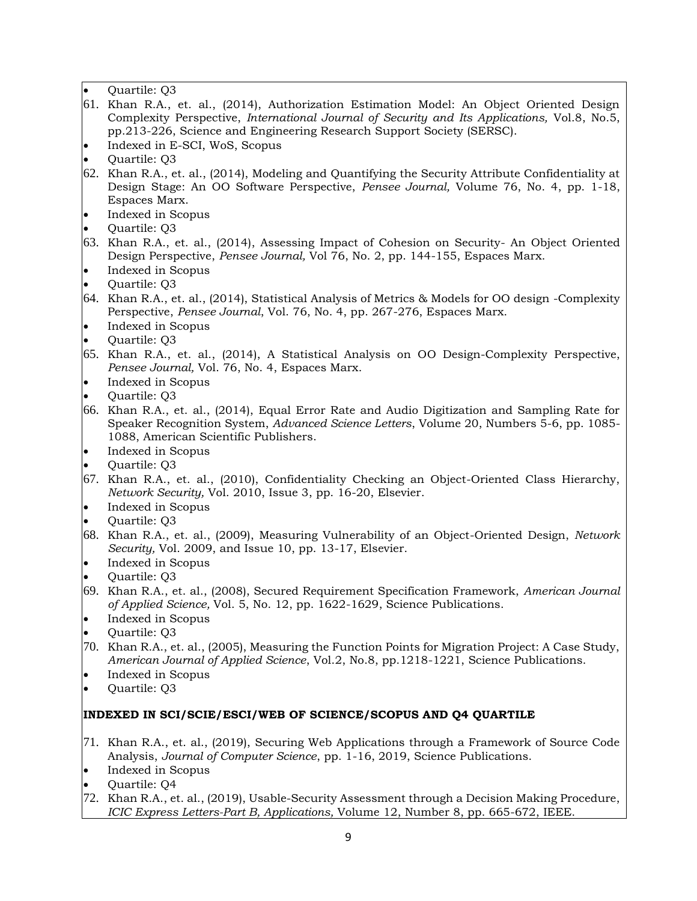• Quartile: Q3

- 61. Khan R.A., et. al., (2014), Authorization Estimation Model: An Object Oriented Design Complexity Perspective, *International Journal of Security and Its Applications,* Vol.8, No.5, pp.213-226, Science and Engineering Research Support Society (SERSC).
- Indexed in E-SCI, WoS, Scopus

- 62. Khan R.A., et. al., (2014), Modeling and Quantifying the Security Attribute Confidentiality at Design Stage: An OO Software Perspective, *Pensee Journal,* Volume 76, No. 4, pp. 1-18, Espaces Marx.
- Indexed in Scopus
- Quartile: Q3
- 63. Khan R.A., et. al., (2014), Assessing Impact of Cohesion on Security- An Object Oriented Design Perspective, *Pensee Journal,* Vol 76, No. 2, pp. 144-155, Espaces Marx.
- Indexed in Scopus
- Quartile: Q3
- 64. Khan R.A., et. al., (2014), Statistical Analysis of Metrics & Models for OO design -Complexity Perspective, *Pensee Journal*, Vol. 76, No. 4, pp. 267-276, Espaces Marx.
- Indexed in Scopus
- Quartile: Q3
- 65. Khan R.A., et. al., (2014), A Statistical Analysis on OO Design-Complexity Perspective, *Pensee Journal,* Vol. 76, No. 4, Espaces Marx.
- Indexed in Scopus
- Quartile: Q3
- 66. Khan R.A., et. al., (2014), Equal Error Rate and Audio Digitization and Sampling Rate for Speaker Recognition System, *Advanced Science Letters*, Volume 20, Numbers 5-6, pp. 1085- 1088, American Scientific Publishers.
- Indexed in Scopus
- Quartile: Q3
- 67. Khan R.A., et. al., (2010), Confidentiality Checking an Object-Oriented Class Hierarchy, *Network Security,* Vol. 2010, Issue 3, pp. 16-20, Elsevier.
- Indexed in Scopus
- Quartile: Q3
- 68. Khan R.A., et. al., (2009), Measuring Vulnerability of an Object-Oriented Design, *Network Security,* Vol. 2009, and Issue 10, pp. 13-17, Elsevier.
- Indexed in Scopus
- Quartile: Q3
- 69. Khan R.A., et. al., (2008), Secured Requirement Specification Framework, *American Journal of Applied Science,* Vol. 5, No. 12, pp. 1622-1629, Science Publications.
- Indexed in Scopus
- Quartile: Q3
- 70. Khan R.A., et. al., (2005), Measuring the Function Points for Migration Project: A Case Study, *American Journal of Applied Science*, Vol.2, No.8, pp.1218-1221, Science Publications.
- Indexed in Scopus
- Quartile: Q3

# **INDEXED IN SCI/SCIE/ESCI/WEB OF SCIENCE/SCOPUS AND Q4 QUARTILE**

- 71. Khan R.A., et. al., (2019), Securing Web Applications through a Framework of Source Code Analysis, *Journal of Computer Science*, pp. 1-16, 2019, Science Publications.
- Indexed in Scopus
- Quartile: Q4
- 72. Khan R.A., et. al., (2019), Usable-Security Assessment through a Decision Making Procedure, *ICIC Express Letters-Part B, Applications,* Volume 12, Number 8, pp. 665-672, IEEE.

<sup>•</sup> Quartile: Q3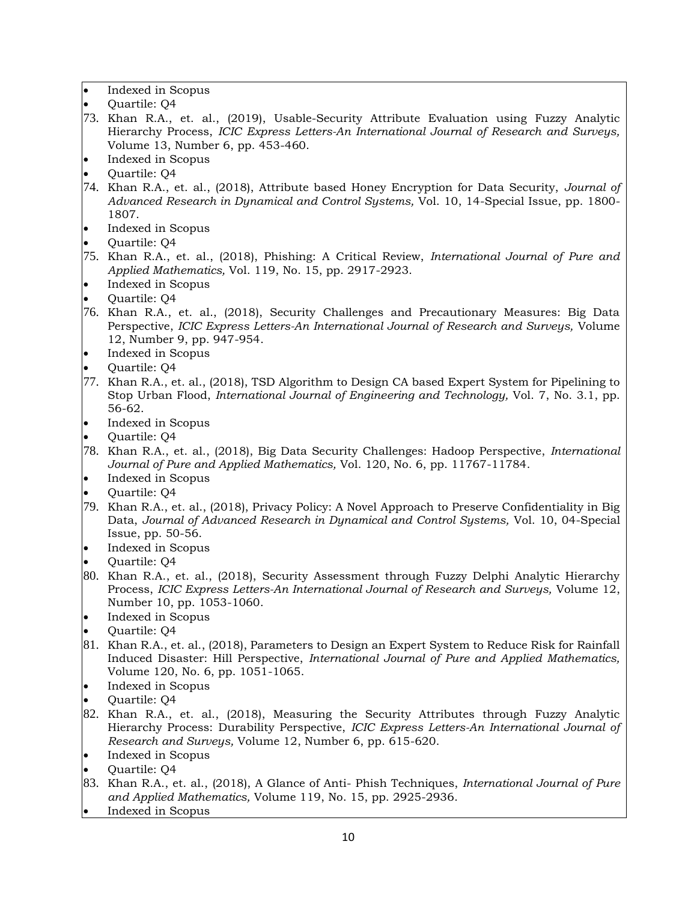- Indexed in Scopus
- Quartile: Q4
- 73. Khan R.A., et. al., (2019), Usable-Security Attribute Evaluation using Fuzzy Analytic Hierarchy Process, *ICIC Express Letters-An International Journal of Research and Surveys,* Volume 13, Number 6, pp. 453-460.
- Indexed in Scopus
- Quartile: Q4
- 74. Khan R.A., et. al., (2018), Attribute based Honey Encryption for Data Security, *Journal of Advanced Research in Dynamical and Control Systems,* Vol. 10, 14-Special Issue, pp. 1800- 1807.
- Indexed in Scopus
- Quartile: Q4
- 75. Khan R.A., et. al., (2018), Phishing: A Critical Review, *International Journal of Pure and Applied Mathematics,* Vol. 119, No. 15, pp. 2917-2923.
- Indexed in Scopus
- Quartile: Q4
- 76. Khan R.A., et. al., (2018), Security Challenges and Precautionary Measures: Big Data Perspective, *ICIC Express Letters-An International Journal of Research and Surveys,* Volume 12, Number 9, pp. 947-954.
- Indexed in Scopus
- Quartile: Q4
- 77. Khan R.A., et. al., (2018), TSD Algorithm to Design CA based Expert System for Pipelining to Stop Urban Flood, *International Journal of Engineering and Technology,* Vol. 7, No. 3.1, pp. 56-62.
- Indexed in Scopus
- Quartile: Q4
- 78. Khan R.A., et. al., (2018), Big Data Security Challenges: Hadoop Perspective, *International Journal of Pure and Applied Mathematics,* Vol. 120, No. 6, pp. 11767-11784.
- Indexed in Scopus
- Quartile: Q4
- 79. Khan R.A., et. al., (2018), Privacy Policy: A Novel Approach to Preserve Confidentiality in Big Data, *Journal of Advanced Research in Dynamical and Control Systems,* Vol. 10, 04-Special Issue, pp. 50-56.
- Indexed in Scopus
- Quartile: Q4
- 80. Khan R.A., et. al., (2018), Security Assessment through Fuzzy Delphi Analytic Hierarchy Process, *ICIC Express Letters-An International Journal of Research and Surveys,* Volume 12, Number 10, pp. 1053-1060.
- Indexed in Scopus
- Quartile: Q4
- 81. Khan R.A., et. al., (2018), Parameters to Design an Expert System to Reduce Risk for Rainfall Induced Disaster: Hill Perspective, *International Journal of Pure and Applied Mathematics,* Volume 120, No. 6, pp. 1051-1065.
- Indexed in Scopus
- Quartile: Q4
- 82. Khan R.A., et. al., (2018), Measuring the Security Attributes through Fuzzy Analytic Hierarchy Process: Durability Perspective, *ICIC Express Letters-An International Journal of Research and Surveys,* Volume 12, Number 6, pp. 615-620.
- Indexed in Scopus
- Quartile: Q4
- 83. Khan R.A., et. al., (2018), A Glance of Anti- Phish Techniques, *International Journal of Pure and Applied Mathematics,* Volume 119, No. 15, pp. 2925-2936.
- Indexed in Scopus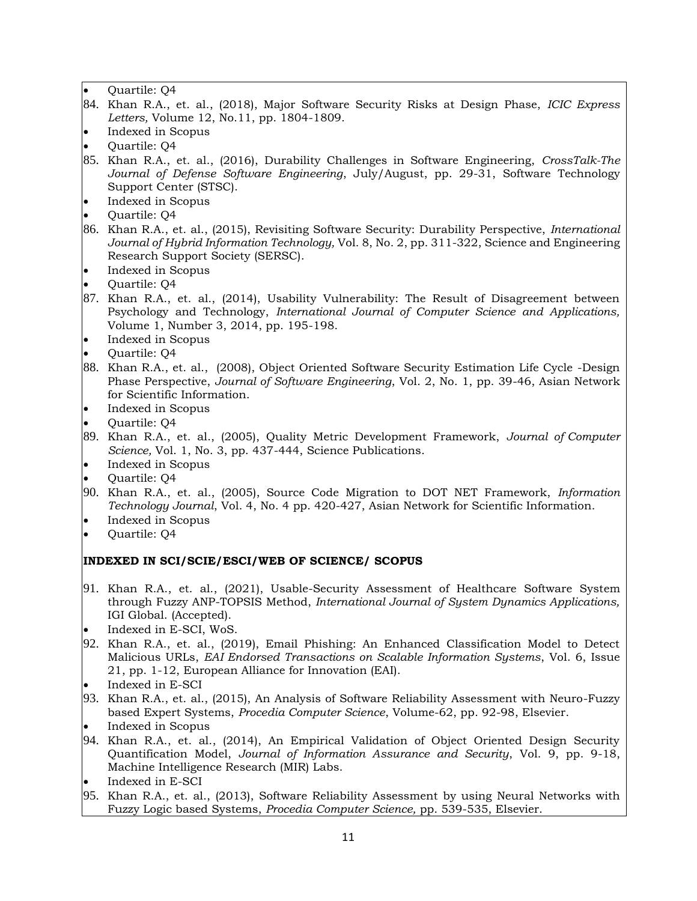• Quartile: Q4

- 84. Khan R.A., et. al., (2018), Major Software Security Risks at Design Phase, *ICIC Express Letters,* Volume 12, No.11, pp. 1804-1809.
- Indexed in Scopus
- Quartile: Q4
- 85. Khan R.A., et. al., (2016), Durability Challenges in Software Engineering, *CrossTalk-The Journal of Defense Software Engineering*, July/August, pp. 29-31, Software Technology Support Center (STSC).
- Indexed in Scopus
- Quartile: Q4
- 86. Khan R.A., et. al., (2015), Revisiting Software Security: Durability Perspective, *International Journal of Hybrid Information Technology,* Vol. 8, No. 2, pp. 311-322, Science and Engineering Research Support Society (SERSC).
- Indexed in Scopus
- Quartile: Q4
- 87. Khan R.A., et. al., (2014), Usability Vulnerability: The Result of Disagreement between Psychology and Technology, *International Journal of Computer Science and Applications,* Volume 1, Number 3, 2014, pp. 195-198.
- Indexed in Scopus
- Quartile: Q4
- 88. Khan R.A., et. al., (2008), Object Oriented Software Security Estimation Life Cycle -Design Phase Perspective, *Journal of Software Engineering*, Vol. 2, No. 1, pp. 39-46, Asian Network for Scientific Information.
- Indexed in Scopus
- Quartile: Q4
- 89. Khan R.A., et. al., (2005), Quality Metric Development Framework, *Journal of Computer Science,* Vol. 1, No. 3, pp. 437-444, Science Publications.
- Indexed in Scopus
- Quartile: Q4
- 90. Khan R.A., et. al., (2005), Source Code Migration to DOT NET Framework, *Information Technology Journal*, Vol. 4, No. 4 pp. 420-427, Asian Network for Scientific Information.
- Indexed in Scopus
- Quartile: Q4

#### **INDEXED IN SCI/SCIE/ESCI/WEB OF SCIENCE/ SCOPUS**

- 91. Khan R.A., et. al., (2021), Usable-Security Assessment of Healthcare Software System through Fuzzy ANP-TOPSIS Method, *International Journal of System Dynamics Applications,*  IGI Global. (Accepted).
- Indexed in E-SCI, WoS.
- 92. Khan R.A., et. al., (2019), Email Phishing: An Enhanced Classification Model to Detect Malicious URLs, *EAI Endorsed Transactions on Scalable Information Systems*, Vol. 6, Issue 21, pp. 1-12, European Alliance for Innovation (EAI).
- Indexed in E-SCI
- 93. Khan R.A., et. al., (2015), An Analysis of Software Reliability Assessment with Neuro-Fuzzy based Expert Systems, *Procedia Computer Science*, Volume-62, pp. 92-98, Elsevier.
- Indexed in Scopus
- 94. Khan R.A., et. al., (2014), An Empirical Validation of Object Oriented Design Security Quantification Model, *Journal of Information Assurance and Security*, Vol. 9, pp. 9-18, Machine Intelligence Research (MIR) Labs.
- Indexed in E-SCI
- 95. Khan R.A., et. al., (2013), Software Reliability Assessment by using Neural Networks with Fuzzy Logic based Systems, *Procedia Computer Science,* pp. 539-535, Elsevier.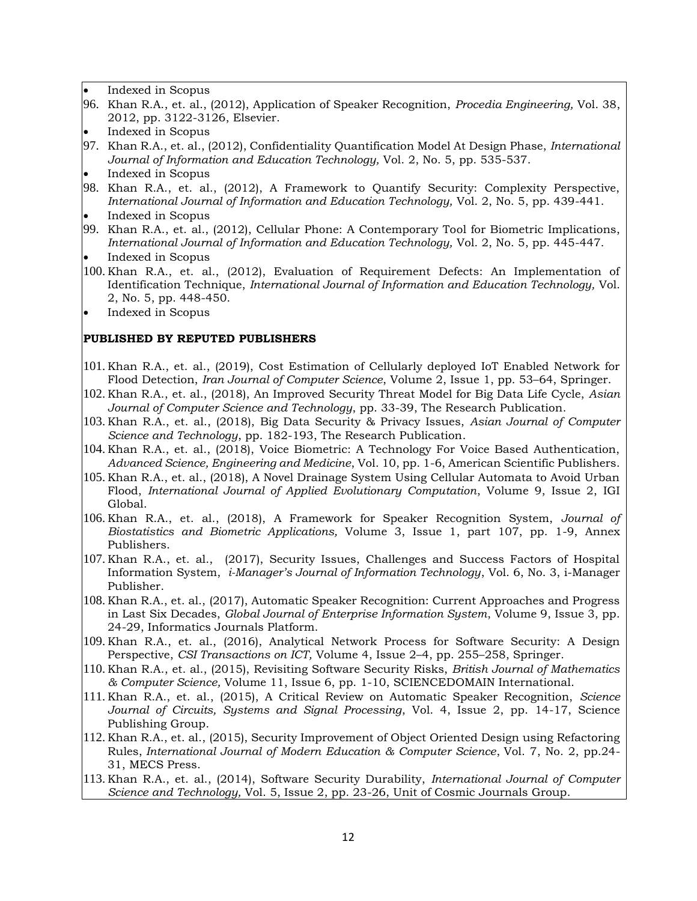• Indexed in Scopus

- 96. Khan R.A., et. al., (2012), Application of Speaker Recognition, *Procedia Engineering,* Vol. 38, 2012, pp. 3122-3126, Elsevier.
- Indexed in Scopus
- 97. Khan R.A., et. al., (2012), Confidentiality Quantification Model At Design Phase, *International Journal of Information and Education Technology,* Vol. 2, No. 5, pp. 535-537.
- Indexed in Scopus
- 98. Khan R.A., et. al., (2012), A Framework to Quantify Security: Complexity Perspective, *International Journal of Information and Education Technology,* Vol. 2, No. 5, pp. 439-441.
- Indexed in Scopus
- 99. Khan R.A., et. al., (2012), Cellular Phone: A Contemporary Tool for Biometric Implications, *International Journal of Information and Education Technology,* Vol. 2, No. 5, pp. 445-447.
- Indexed in Scopus
- 100. Khan R.A., et. al., (2012), Evaluation of Requirement Defects: An Implementation of Identification Technique, *International Journal of Information and Education Technology,* Vol. 2, No. 5, pp. 448-450.
- Indexed in Scopus

#### **PUBLISHED BY REPUTED PUBLISHERS**

- 101. Khan R.A., et. al., (2019), Cost Estimation of Cellularly deployed IoT Enabled Network for Flood Detection, *Iran Journal of Computer Science*, Volume 2, Issue 1, pp. 53–64, Springer.
- 102. Khan R.A., et. al., (2018), An Improved Security Threat Model for Big Data Life Cycle, *Asian Journal of Computer Science and Technology*, pp. 33-39, The Research Publication.
- 103. Khan R.A., et. al., (2018), Big Data Security & Privacy Issues, *Asian Journal of Computer Science and Technology*, pp. 182-193, The Research Publication.
- 104. Khan R.A., et. al., (2018), Voice Biometric: A Technology For Voice Based Authentication, *Advanced Science, Engineering and Medicine*, Vol. 10, pp. 1-6, American Scientific Publishers.
- 105. Khan R.A., et. al., (2018), A Novel Drainage System Using Cellular Automata to Avoid Urban Flood, *International Journal of Applied Evolutionary Computation*, Volume 9, Issue 2, IGI Global.
- 106. Khan R.A., et. al., (2018), A Framework for Speaker Recognition System, *Journal of Biostatistics and Biometric Applications,* Volume 3, Issue 1, part 107, pp. 1-9, Annex Publishers.
- 107. Khan R.A., et. al., (2017), Security Issues, Challenges and Success Factors of Hospital Information System, *i-Manager's Journal of Information Technology*, Vol. 6, No. 3, i-Manager Publisher.
- 108. Khan R.A., et. al., (2017), Automatic Speaker Recognition: Current Approaches and Progress in Last Six Decades, *Global Journal of Enterprise Information System*, Volume 9, Issue 3, pp. 24-29, Informatics Journals Platform.
- 109. Khan R.A., et. al., (2016), Analytical Network Process for Software Security: A Design Perspective, *CSI Transactions on ICT,* Volume 4, Issue 2–4, pp. 255–258, Springer.
- 110. Khan R.A., et. al., (2015), Revisiting Software Security Risks, *British Journal of Mathematics & Computer Science,* Volume 11, Issue 6, pp. 1-10, SCIENCEDOMAIN International.
- 111. Khan R.A., et. al., (2015), A Critical Review on Automatic Speaker Recognition, *Science Journal of Circuits, Systems and Signal Processing*, Vol. 4, Issue 2, pp. 14-17, Science Publishing Group.
- 112. Khan R.A., et. al., (2015), Security Improvement of Object Oriented Design using Refactoring Rules, *International Journal of Modern Education & Computer Science*, Vol. 7, No. 2, pp.24- 31, MECS Press.
- 113. Khan R.A., et. al., (2014), Software Security Durability, *International Journal of Computer Science and Technology,* Vol. 5, Issue 2, pp. 23-26, Unit of Cosmic Journals Group.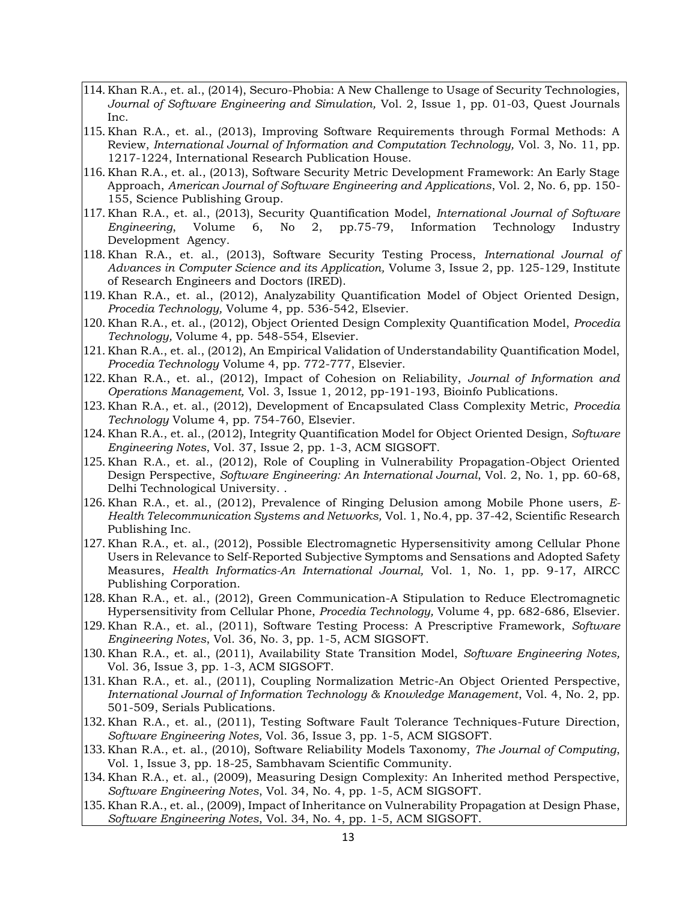- 114. Khan R.A., et. al., (2014), Securo-Phobia: A New Challenge to Usage of Security Technologies, *Journal of Software Engineering and Simulation,* Vol. 2, Issue 1, pp. 01-03, Quest Journals Inc.
- 115. Khan R.A., et. al., (2013), Improving Software Requirements through Formal Methods: A Review, *International Journal of Information and Computation Technology,* Vol. 3, No. 11, pp. 1217-1224, International Research Publication House.
- 116. Khan R.A., et. al., (2013), Software Security Metric Development Framework: An Early Stage Approach, *American Journal of Software Engineering and Applications*, Vol. 2, No. 6, pp. 150- 155, Science Publishing Group.
- 117. Khan R.A., et. al., (2013), Security Quantification Model, *International Journal of Software Engineering*, Volume 6, No 2, pp.75-79, Information Technology Industry Development Agency.
- 118. Khan R.A., et. al., (2013), Software Security Testing Process, *International Journal of Advances in Computer Science and its Application,* Volume 3, Issue 2, pp. 125-129, Institute of Research Engineers and Doctors (IRED).
- 119. Khan R.A., et. al., (2012), Analyzability Quantification Model of Object Oriented Design, *Procedia Technology,* Volume 4, pp. 536-542, Elsevier.
- 120. Khan R.A., et. al., (2012), Object Oriented Design Complexity Quantification Model, *Procedia Technology,* Volume 4, pp. 548-554, Elsevier.
- 121. Khan R.A., et. al., (2012), An Empirical Validation of Understandability Quantification Model, *Procedia Technology* Volume 4, pp. 772-777, Elsevier.
- 122. Khan R.A., et. al., (2012), Impact of Cohesion on Reliability, *Journal of Information and Operations Management,* Vol. 3, Issue 1, 2012, pp-191-193, Bioinfo Publications.
- 123. Khan R.A., et. al., (2012), Development of Encapsulated Class Complexity Metric, *Procedia Technology* Volume 4, pp. 754-760, Elsevier.
- 124. Khan R.A., et. al., (2012), Integrity Quantification Model for Object Oriented Design, *Software Engineering Notes*, Vol. 37, Issue 2, pp. 1-3, ACM SIGSOFT.
- 125. Khan R.A., et. al., (2012), Role of Coupling in Vulnerability Propagation-Object Oriented Design Perspective, *Software Engineering: An International Journal*, Vol. 2, No. 1, pp. 60-68, Delhi Technological University. .
- 126. Khan R.A., et. al., (2012), Prevalence of Ringing Delusion among Mobile Phone users, *E-Health Telecommunication Systems and Networks,* Vol. 1, No.4, pp. 37-42, Scientific Research Publishing Inc.
- 127. Khan R.A., et. al., (2012), Possible Electromagnetic Hypersensitivity among Cellular Phone Users in Relevance to Self-Reported Subjective Symptoms and Sensations and Adopted Safety Measures, *Health Informatics-An International Journal,* Vol. 1, No. 1, pp. 9-17, AIRCC Publishing Corporation.
- 128. Khan R.A., et. al., (2012), Green Communication-A Stipulation to Reduce Electromagnetic Hypersensitivity from Cellular Phone, *Procedia Technology,* Volume 4, pp. 682-686, Elsevier.
- 129. Khan R.A., et. al., (2011), Software Testing Process: A Prescriptive Framework, *Software Engineering Notes*, Vol. 36, No. 3, pp. 1-5, ACM SIGSOFT.
- 130. Khan R.A., et. al., (2011), Availability State Transition Model, *Software Engineering Notes,* Vol. 36, Issue 3, pp. 1-3, ACM SIGSOFT.
- 131. Khan R.A., et. al., (2011), Coupling Normalization Metric-An Object Oriented Perspective, *International Journal of Information Technology & Knowledge Management*, Vol. 4, No. 2, pp. 501-509, Serials Publications.
- 132. Khan R.A., et. al., (2011), Testing Software Fault Tolerance Techniques-Future Direction, *Software Engineering Notes,* Vol. 36, Issue 3, pp. 1-5, ACM SIGSOFT.
- 133. Khan R.A., et. al., (2010), Software Reliability Models Taxonomy, *The Journal of Computing*, Vol. 1, Issue 3, pp. 18-25, Sambhavam Scientific Community.
- 134. Khan R.A., et. al., (2009), Measuring Design Complexity: An Inherited method Perspective, *Software Engineering Notes*, Vol. 34, No. 4, pp. 1-5, ACM SIGSOFT.
- 135. Khan R.A., et. al., (2009), Impact of Inheritance on Vulnerability Propagation at Design Phase, *Software Engineering Notes*, Vol. 34, No. 4, pp. 1-5, ACM SIGSOFT.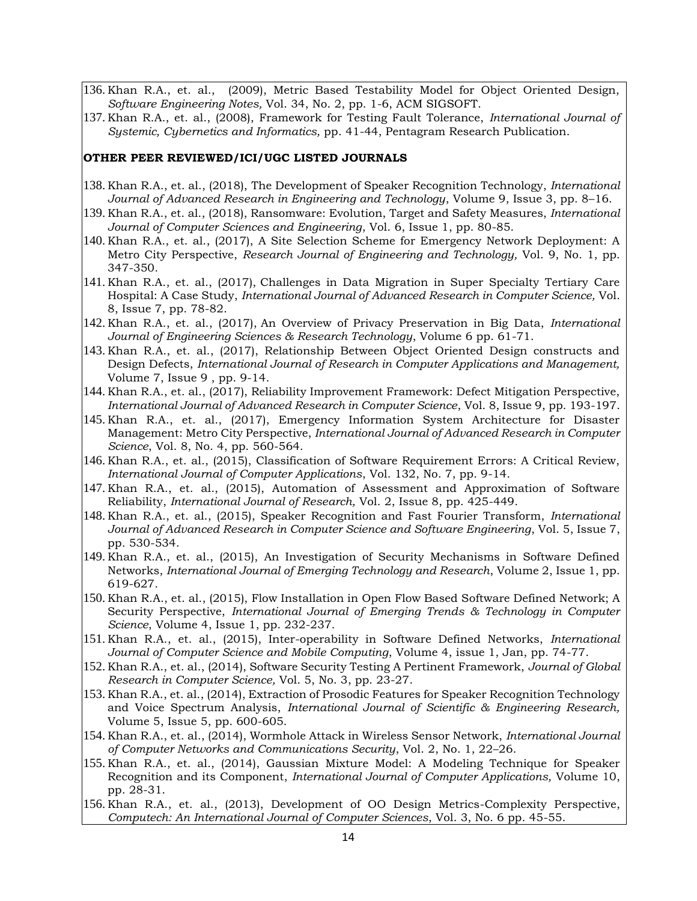- 136. Khan R.A., et. al., (2009), Metric Based Testability Model for Object Oriented Design, *Software Engineering Notes,* Vol. 34, No. 2, pp. 1-6, ACM SIGSOFT.
- 137. Khan R.A., et. al., (2008), Framework for Testing Fault Tolerance, *International Journal of Systemic, Cybernetics and Informatics,* pp. 41-44, Pentagram Research Publication.

#### **OTHER PEER REVIEWED/ICI/UGC LISTED JOURNALS**

- 138. Khan R.A., et. al., (2018), The Development of Speaker Recognition Technology, *International Journal of Advanced Research in Engineering and Technology*, Volume 9, Issue 3, pp. 8–16.
- 139. Khan R.A., et. al., (2018), Ransomware: Evolution, Target and Safety Measures, *International Journal of Computer Sciences and Engineering*, Vol. 6, Issue 1, pp. 80-85.
- 140. Khan R.A., et. al., (2017), A Site Selection Scheme for Emergency Network Deployment: A Metro City Perspective, *Research Journal of Engineering and Technology,* Vol. 9, No. 1, pp. 347-350.
- 141. Khan R.A., et. al., (2017), Challenges in Data Migration in Super Specialty Tertiary Care Hospital: A Case Study, *International Journal of Advanced Research in Computer Science,* Vol. 8, Issue 7, pp. 78-82.
- 142. Khan R.A., et. al., (2017), An Overview of Privacy Preservation in Big Data, *International Journal of Engineering Sciences & Research Technology*, Volume 6 pp. 61-71.
- 143. Khan R.A., et. al., (2017), Relationship Between Object Oriented Design constructs and Design Defects, *International Journal of Research in Computer Applications and Management,* Volume 7, Issue 9 , pp. 9-14.
- 144. Khan R.A., et. al., (2017), Reliability Improvement Framework: Defect Mitigation Perspective, *International Journal of Advanced Research in Computer Science*, Vol. 8, Issue 9, pp. 193-197.
- 145. Khan R.A., et. al., (2017), Emergency Information System Architecture for Disaster Management: Metro City Perspective, *International Journal of Advanced Research in Computer Science*, Vol. 8, No. 4, pp. 560-564.
- 146. Khan R.A., et. al., (2015), Classification of Software Requirement Errors: A Critical Review, *International Journal of Computer Applications*, Vol. 132, No. 7, pp. 9-14.
- 147. Khan R.A., et. al., (2015), Automation of Assessment and Approximation of Software Reliability, *International Journal of Research,* Vol. 2, Issue 8, pp. 425-449.
- 148. Khan R.A., et. al., (2015), Speaker Recognition and Fast Fourier Transform, *International Journal of Advanced Research in Computer Science and Software Engineering*, Vol. 5, Issue 7, pp. 530-534.
- 149. Khan R.A., et. al., (2015), An Investigation of Security Mechanisms in Software Defined Networks, *International Journal of Emerging Technology and Research*, Volume 2, Issue 1, pp. 619-627.
- 150. Khan R.A., et. al., (2015), Flow Installation in Open Flow Based Software Defined Network; A Security Perspective, *International Journal of Emerging Trends & Technology in Computer Science*, Volume 4, Issue 1, pp. 232-237.
- 151. Khan R.A., et. al., (2015), Inter-operability in Software Defined Networks, *International Journal of Computer Science and Mobile Computing*, Volume 4, issue 1, Jan, pp. 74-77.
- 152. Khan R.A., et. al., (2014), Software Security Testing A Pertinent Framework, *Journal of Global Research in Computer Science,* Vol. 5, No. 3, pp. 23-27.
- 153. Khan R.A., et. al., (2014), Extraction of Prosodic Features for Speaker Recognition Technology and Voice Spectrum Analysis, *International Journal of Scientific & Engineering Research,* Volume 5, Issue 5, pp. 600-605.
- 154. Khan R.A., et. al., (2014), Wormhole Attack in Wireless Sensor Network, *International Journal of Computer Networks and Communications Security*, Vol. 2, No. 1, 22–26.
- 155. Khan R.A., et. al., (2014), Gaussian Mixture Model: A Modeling Technique for Speaker Recognition and its Component, *International Journal of Computer Applications,* Volume 10, pp. 28-31.
- 156. Khan R.A., et. al., (2013), Development of OO Design Metrics-Complexity Perspective, *Computech: An International Journal of Computer Sciences*, Vol. 3, No. 6 pp. 45-55.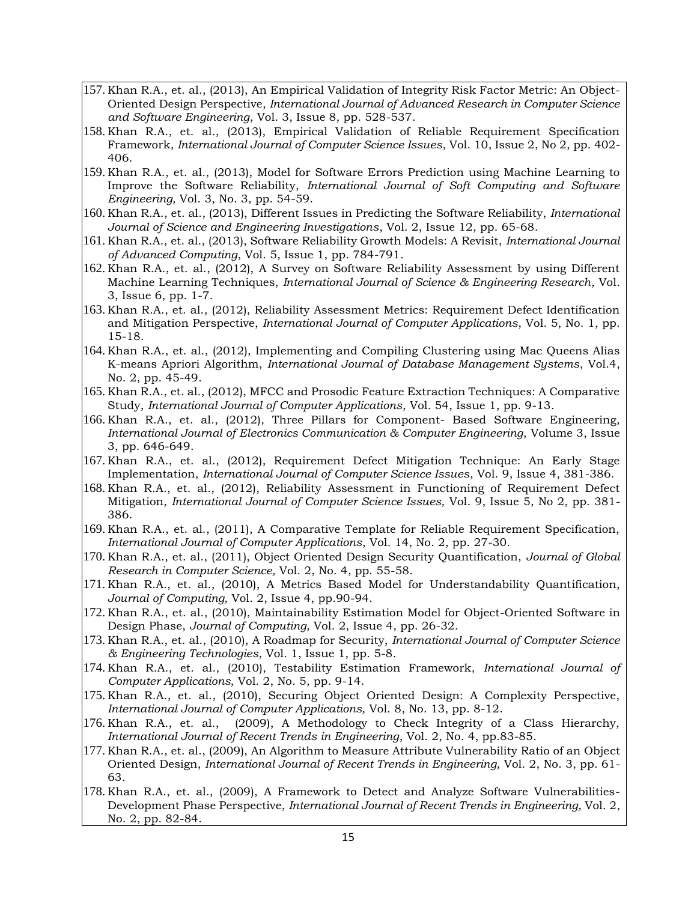- 157. Khan R.A., et. al., (2013), An Empirical Validation of Integrity Risk Factor Metric: An Object-Oriented Design Perspective, *International Journal of Advanced Research in Computer Science and Software Engineering*, Vol. 3, Issue 8, pp. 528-537.
- 158. Khan R.A., et. al., (2013), Empirical Validation of Reliable Requirement Specification Framework, *International Journal of Computer Science Issues*, Vol. 10, Issue 2, No 2, pp. 402- 406.
- 159. Khan R.A., et. al., (2013), Model for Software Errors Prediction using Machine Learning to Improve the Software Reliability, *International Journal of Soft Computing and Software Engineering,* Vol. 3, No. 3, pp. 54-59.
- 160. Khan R.A., et. al., (2013), Different Issues in Predicting the Software Reliability, *International Journal of Science and Engineering Investigations*, Vol. 2, Issue 12, pp. 65-68.
- 161. Khan R.A., et. al., (2013), Software Reliability Growth Models: A Revisit, *International Journal of Advanced Computing*, Vol. 5, Issue 1, pp. 784-791.
- 162. Khan R.A., et. al., (2012), A Survey on Software Reliability Assessment by using Different Machine Learning Techniques, *International Journal of Science & Engineering Research*, Vol. 3, Issue 6, pp. 1-7.
- 163. Khan R.A., et. al., (2012), Reliability Assessment Metrics: Requirement Defect Identification and Mitigation Perspective, *International Journal of Computer Applications*, Vol. 5, No. 1, pp. 15-18.
- 164. Khan R.A., et. al., (2012), Implementing and Compiling Clustering using Mac Queens Alias K-means Apriori Algorithm, *International Journal of Database Management Systems*, Vol.4, No. 2, pp. 45-49.
- 165. Khan R.A., et. al., (2012), MFCC and Prosodic Feature Extraction Techniques: A Comparative Study, *International Journal of Computer Applications*, Vol. 54, Issue 1, pp. 9-13.
- 166. Khan R.A., et. al., (2012), Three Pillars for Component- Based Software Engineering, *International Journal of Electronics Communication & Computer Engineering,* Volume 3, Issue 3, pp. 646-649.
- 167. Khan R.A., et. al., (2012), Requirement Defect Mitigation Technique: An Early Stage Implementation, *International Journal of Computer Science Issues*, Vol. 9, Issue 4, 381-386.
- 168. Khan R.A., et. al., (2012), Reliability Assessment in Functioning of Requirement Defect Mitigation, *International Journal of Computer Science Issues,* Vol. 9, Issue 5, No 2, pp. 381- 386.
- 169. Khan R.A., et. al., (2011), A Comparative Template for Reliable Requirement Specification, *International Journal of Computer Applications*, Vol. 14, No. 2, pp. 27-30.
- 170. Khan R.A., et. al., (2011), Object Oriented Design Security Quantification, *Journal of Global Research in Computer Science,* Vol. 2, No. 4, pp. 55-58.
- 171. Khan R.A., et. al., (2010), A Metrics Based Model for Understandability Quantification, *Journal of Computing,* Vol. 2, Issue 4, pp.90-94.
- 172. Khan R.A., et. al., (2010), Maintainability Estimation Model for Object-Oriented Software in Design Phase, *Journal of Computing,* Vol. 2, Issue 4, pp. 26-32.
- 173. Khan R.A., et. al., (2010), A Roadmap for Security, *International Journal of Computer Science & Engineering Technologies*, Vol. 1, Issue 1, pp. 5-8.
- 174. Khan R.A., et. al., (2010), Testability Estimation Framework, *International Journal of Computer Applications,* Vol. 2, No. 5, pp. 9-14.
- 175. Khan R.A., et. al., (2010), Securing Object Oriented Design: A Complexity Perspective, *International Journal of Computer Applications,* Vol. 8, No. 13, pp. 8-12.
- 176. Khan R.A., et. al., (2009), A Methodology to Check Integrity of a Class Hierarchy, *International Journal of Recent Trends in Engineering*, Vol. 2, No. 4, pp.83-85.
- 177. Khan R.A., et. al., (2009), An Algorithm to Measure Attribute Vulnerability Ratio of an Object Oriented Design, *International Journal of Recent Trends in Engineering,* Vol. 2, No. 3, pp. 61- 63.
- 178. Khan R.A., et. al., (2009), A Framework to Detect and Analyze Software Vulnerabilities-Development Phase Perspective, *International Journal of Recent Trends in Engineering,* Vol. 2, No. 2, pp. 82-84.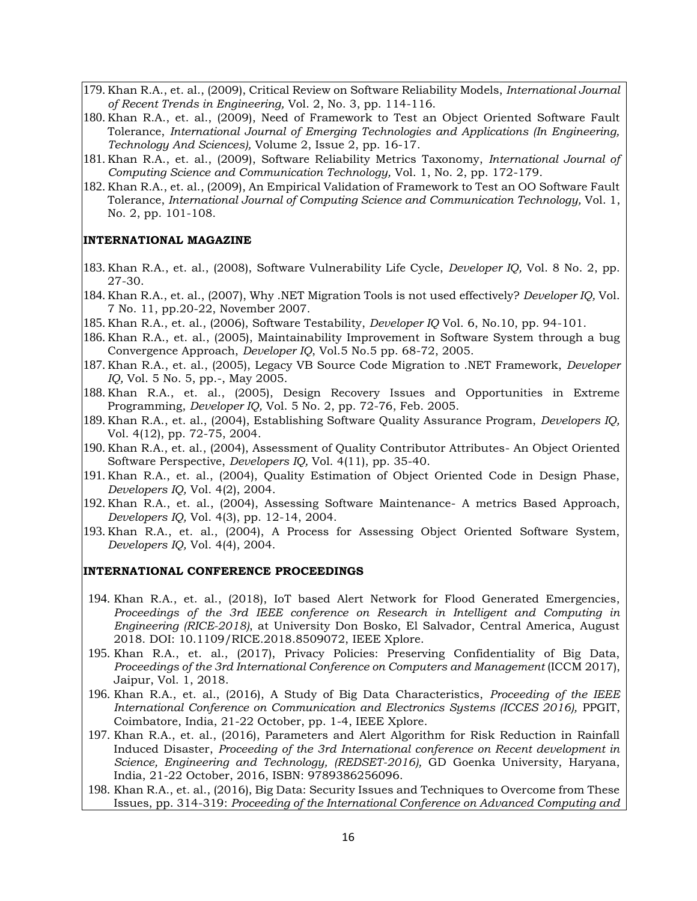- 179. Khan R.A., et. al., (2009), Critical Review on Software Reliability Models, *International Journal of Recent Trends in Engineering,* Vol. 2, No. 3, pp. 114-116.
- 180. Khan R.A., et. al., (2009), Need of Framework to Test an Object Oriented Software Fault Tolerance, *International Journal of Emerging Technologies and Applications (In Engineering, Technology And Sciences),* Volume 2, Issue 2, pp. 16-17.
- 181. Khan R.A., et. al., (2009), Software Reliability Metrics Taxonomy, *International Journal of Computing Science and Communication Technology,* Vol. 1, No. 2, pp. 172-179.
- 182. Khan R.A., et. al., (2009), An Empirical Validation of Framework to Test an OO Software Fault Tolerance, *International Journal of Computing Science and Communication Technology,* Vol. 1, No. 2, pp. 101-108.

#### **INTERNATIONAL MAGAZINE**

- 183. Khan R.A., et. al., (2008), Software Vulnerability Life Cycle, *Developer IQ,* Vol. 8 No. 2, pp. 27-30.
- 184. Khan R.A., et. al., (2007), Why .NET Migration Tools is not used effectively? *Developer IQ,* Vol. 7 No. 11, pp.20-22, November 2007.
- 185. Khan R.A., et. al., (2006), Software Testability, *Developer IQ* Vol. 6, No.10, pp. 94-101.
- 186. Khan R.A., et. al., (2005), Maintainability Improvement in Software System through a bug Convergence Approach, *Developer IQ*, Vol.5 No.5 pp. 68-72, 2005.
- 187. Khan R.A., et. al., (2005), Legacy VB Source Code Migration to .NET Framework, *Developer IQ,* Vol. 5 No. 5, pp.-, May 2005.
- 188. Khan R.A., et. al., (2005), Design Recovery Issues and Opportunities in Extreme Programming, *Developer IQ,* Vol. 5 No. 2, pp. 72-76, Feb. 2005.
- 189. Khan R.A., et. al., (2004), Establishing Software Quality Assurance Program, *Developers IQ,* Vol. 4(12), pp. 72-75, 2004.
- 190. Khan R.A., et. al., (2004), Assessment of Quality Contributor Attributes- An Object Oriented Software Perspective, *Developers IQ,* Vol. 4(11), pp. 35-40.
- 191. Khan R.A., et. al., (2004), Quality Estimation of Object Oriented Code in Design Phase, *Developers IQ,* Vol. 4(2), 2004.
- 192. Khan R.A., et. al., (2004), Assessing Software Maintenance- A metrics Based Approach, *Developers IQ,* Vol. 4(3), pp. 12-14, 2004.
- 193. Khan R.A., et. al., (2004), A Process for Assessing Object Oriented Software System, *Developers IQ,* Vol. 4(4), 2004.

#### **INTERNATIONAL CONFERENCE PROCEEDINGS**

- 194. Khan R.A., et. al., (2018), IoT based Alert Network for Flood Generated Emergencies, *Proceedings of the 3rd IEEE conference on Research in Intelligent and Computing in Engineering (RICE-2018)*, at University Don Bosko, El Salvador, Central America, August 2018. DOI: 10.1109/RICE.2018.8509072, IEEE Xplore.
- 195. Khan R.A., et. al., (2017), Privacy Policies: Preserving Confidentiality of Big Data, *Proceedings of the 3rd International Conference on Computers and Management* (ICCM 2017), Jaipur, Vol. 1, 2018.
- 196. Khan R.A., et. al., (2016), A Study of Big Data Characteristics, *Proceeding of the IEEE International Conference on Communication and Electronics Systems (ICCES 2016),* PPGIT, Coimbatore, India, 21-22 October, pp. 1-4, IEEE Xplore.
- 197. Khan R.A., et. al., (2016), Parameters and Alert Algorithm for Risk Reduction in Rainfall Induced Disaster, *Proceeding of the 3rd International conference on Recent development in Science, Engineering and Technology, (REDSET-2016),* GD Goenka University, Haryana, India, 21-22 October, 2016, ISBN: 9789386256096.
- 198. Khan R.A., et. al., (2016), Big Data: Security Issues and Techniques to Overcome from These Issues, pp. 314-319: *Proceeding of the International Conference on Advanced Computing and*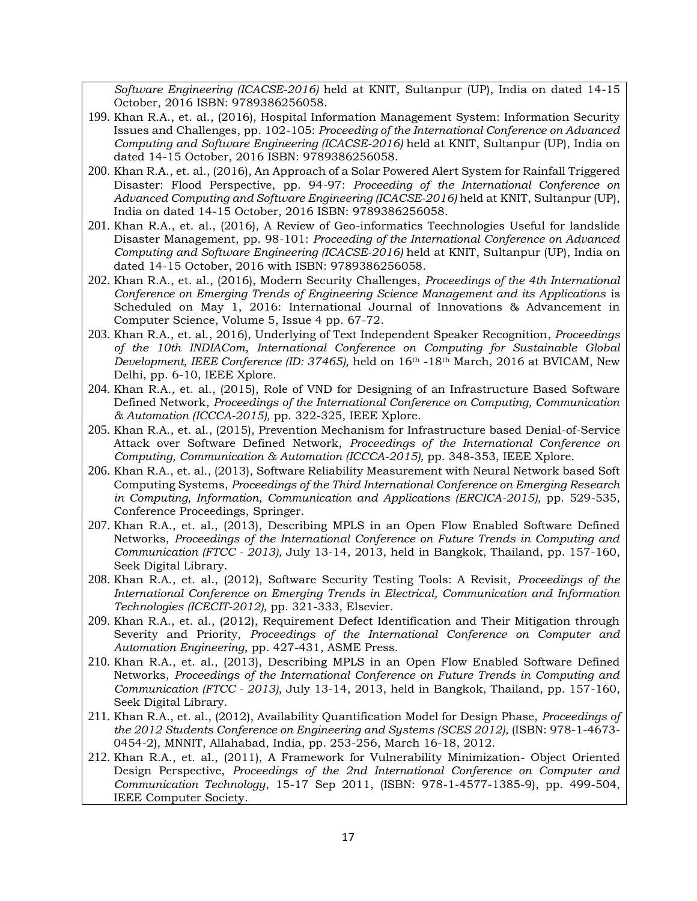*Software Engineering (ICACSE-2016)* held at KNIT, Sultanpur (UP), India on dated 14-15 October, 2016 ISBN: 9789386256058.

- 199. Khan R.A., et. al., (2016), Hospital Information Management System: Information Security Issues and Challenges, pp. 102-105: *Proceeding of the International Conference on Advanced Computing and Software Engineering (ICACSE-2016)* held at KNIT, Sultanpur (UP), India on dated 14-15 October, 2016 ISBN: 9789386256058.
- 200. Khan R.A., et. al., (2016), An Approach of a Solar Powered Alert System for Rainfall Triggered Disaster: Flood Perspective, pp. 94-97: *Proceeding of the International Conference on Advanced Computing and Software Engineering (ICACSE-2016)* held at KNIT, Sultanpur (UP), India on dated 14-15 October, 2016 ISBN: 9789386256058.
- 201. Khan R.A., et. al., (2016), A Review of Geo-informatics Teechnologies Useful for landslide Disaster Management, pp. 98-101: *Proceeding of the International Conference on Advanced Computing and Software Engineering (ICACSE-2016)* held at KNIT, Sultanpur (UP), India on dated 14-15 October, 2016 with ISBN: 9789386256058.
- 202. Khan R.A., et. al., (2016), Modern Security Challenges, *Proceedings of the 4th International Conference on Emerging Trends of Engineering Science Management and its Applications* is Scheduled on May 1, 2016: International Journal of Innovations & Advancement in Computer Science, Volume 5, Issue 4 pp. 67-72.
- 203. Khan R.A., et. al., 2016), Underlying of Text Independent Speaker Recognition, *Proceedings of the 10th INDIACom, International Conference on Computing for Sustainable Global Development, IEEE Conference (ID: 37465),* held on 16th -18th March, 2016 at BVICAM, New Delhi, pp. 6-10, IEEE Xplore.
- 204. Khan R.A., et. al., (2015), Role of VND for Designing of an Infrastructure Based Software Defined Network, *Proceedings of the International Conference on Computing, Communication & Automation (ICCCA-2015),* pp. 322-325, IEEE Xplore.
- 205. Khan R.A., et. al., (2015), Prevention Mechanism for Infrastructure based Denial-of-Service Attack over Software Defined Network, *Proceedings of the International Conference on Computing, Communication & Automation (ICCCA-2015),* pp. 348-353, IEEE Xplore.
- 206. Khan R.A., et. al., (2013), Software Reliability Measurement with Neural Network based Soft Computing Systems, *Proceedings of the Third International Conference on Emerging Research in Computing, Information, Communication and Applications (ERCICA-2015)*, pp. 529-535, Conference Proceedings, Springer.
- 207. Khan R.A., et. al., (2013), Describing MPLS in an Open Flow Enabled Software Defined Networks, *Proceedings of the International Conference on Future Trends in Computing and Communication (FTCC - 2013),* July 13-14, 2013, held in Bangkok, Thailand, pp. 157-160, Seek Digital Library.
- 208. Khan R.A., et. al., (2012), Software Security Testing Tools: A Revisit, *Proceedings of the International Conference on Emerging Trends in Electrical, Communication and Information Technologies (ICECIT-2012),* pp. 321-333, Elsevier.
- 209. Khan R.A., et. al., (2012), Requirement Defect Identification and Their Mitigation through Severity and Priority, *Proceedings of the International Conference on Computer and Automation Engineering*, pp. 427-431, ASME Press.
- 210. Khan R.A., et. al., (2013), Describing MPLS in an Open Flow Enabled Software Defined Networks, *Proceedings of the International Conference on Future Trends in Computing and Communication (FTCC - 2013),* July 13-14, 2013, held in Bangkok, Thailand, pp. 157-160, Seek Digital Library.
- 211. Khan R.A., et. al., (2012), Availability Quantification Model for Design Phase, *Proceedings of the 2012 Students Conference on Engineering and Systems (SCES 2012),* (ISBN: 978-1-4673- 0454-2), MNNIT, Allahabad, India, pp. 253-256, March 16-18, 2012.
- 212. Khan R.A., et. al., (2011), A Framework for Vulnerability Minimization- Object Oriented Design Perspective, *Proceedings of the 2nd International Conference on Computer and Communication Technology*, 15-17 Sep 2011, (ISBN: 978-1-4577-1385-9), pp. 499-504, IEEE Computer Society.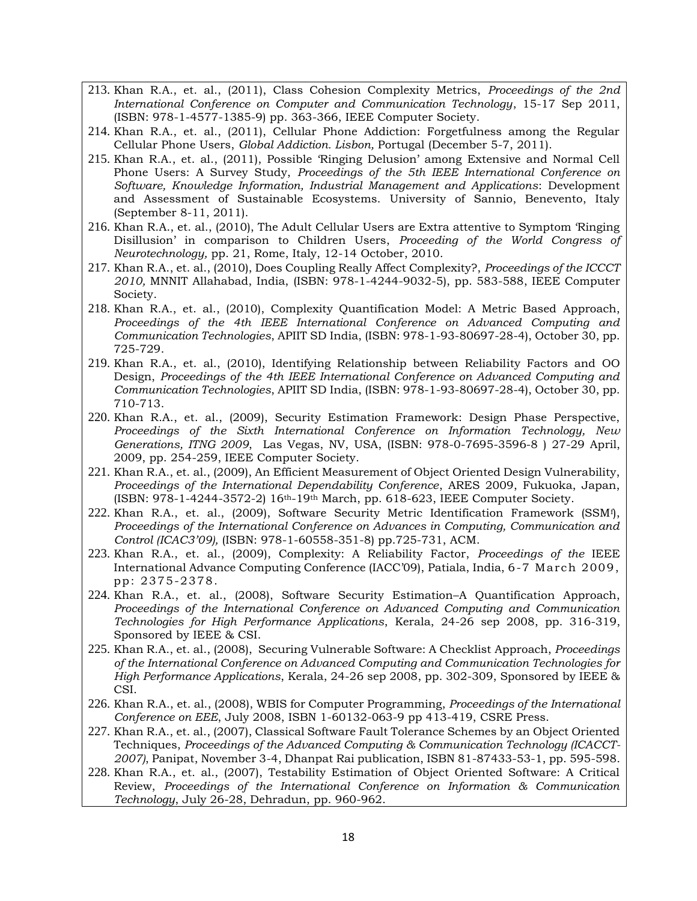- 213. Khan R.A., et. al., (2011), Class Cohesion Complexity Metrics, *Proceedings of the 2nd International Conference on Computer and Communication Technology*, 15-17 Sep 2011, (ISBN: 978-1-4577-1385-9) pp. 363-366, IEEE Computer Society.
- 214. Khan R.A., et. al., (2011), Cellular Phone Addiction: Forgetfulness among the Regular Cellular Phone Users, *Global Addiction. Lisbon,* Portugal (December 5-7, 2011).
- 215. Khan R.A., et. al., (2011), Possible 'Ringing Delusion' among Extensive and Normal Cell Phone Users: A Survey Study, *Proceedings of the 5th IEEE International Conference on Software, Knowledge Information, Industrial Management and Applications*: Development and Assessment of Sustainable Ecosystems. University of Sannio, Benevento, Italy (September 8-11, 2011).
- 216. Khan R.A., et. al., (2010), The Adult Cellular Users are Extra attentive to Symptom 'Ringing Disillusion' in comparison to Children Users, *Proceeding of the World Congress of Neurotechnology,* pp. 21, Rome, Italy, 12-14 October, 2010.
- 217. Khan R.A., et. al., (2010), Does Coupling Really Affect Complexity?, *Proceedings of the ICCCT 2010,* MNNIT Allahabad, India, (ISBN: 978-1-4244-9032-5), pp. 583-588, IEEE Computer Society.
- 218. Khan R.A., et. al., (2010), Complexity Quantification Model: A Metric Based Approach, *Proceedings of the 4th IEEE International Conference on Advanced Computing and Communication Technologies*, APIIT SD India, (ISBN: 978-1-93-80697-28-4), October 30, pp. 725-729.
- 219. Khan R.A., et. al., (2010), Identifying Relationship between Reliability Factors and OO Design, *Proceedings of the 4th IEEE International Conference on Advanced Computing and Communication Technologies*, APIIT SD India, (ISBN: 978-1-93-80697-28-4), October 30, pp. 710-713.
- 220. Khan R.A., et. al., (2009), Security Estimation Framework: Design Phase Perspective, *Proceedings of the Sixth International Conference on Information Technology, New Generations, ITNG 2009*, Las Vegas, NV, USA, (ISBN: 978-0-7695-3596-8 ) 27-29 April, 2009, pp. 254-259, IEEE Computer Society.
- 221. Khan R.A., et. al., (2009), An Efficient Measurement of Object Oriented Design Vulnerability, *Proceedings of the International Dependability Conference*, ARES 2009, Fukuoka, Japan, (ISBN: 978-1-4244-3572-2) 16th-19th March, pp. 618-623, IEEE Computer Society.
- 222. Khan R.A., et. al., (2009), Software Security Metric Identification Framework (SSM<sup>f</sup> ), *Proceedings of the International Conference on Advances in Computing, Communication and Control (ICAC3'09),* (ISBN: 978-1-60558-351-8) pp.725-731, ACM.
- 223. Khan R.A., et. al., (2009), Complexity: A Reliability Factor, *Proceedings of the* IEEE International Advance Computing Conference (IACC'09), Patiala, India, 6-7 March 2009, pp: 2375-2378.
- 224. Khan R.A., et. al., (2008), Software Security Estimation–A Quantification Approach, *Proceedings of the International Conference on Advanced Computing and Communication Technologies for High Performance Applications*, Kerala, 24-26 sep 2008, pp. 316-319, Sponsored by IEEE & CSI.
- 225. Khan R.A., et. al., (2008), Securing Vulnerable Software: A Checklist Approach, *Proceedings of the International Conference on Advanced Computing and Communication Technologies for High Performance Applications*, Kerala, 24-26 sep 2008, pp. 302-309, Sponsored by IEEE & CSI.
- 226. Khan R.A., et. al., (2008), WBIS for Computer Programming, *Proceedings of the International Conference on EEE*, July 2008, ISBN 1-60132-063-9 pp 413-419, CSRE Press.
- 227. Khan R.A., et. al., (2007), Classical Software Fault Tolerance Schemes by an Object Oriented Techniques, *Proceedings of the Advanced Computing & Communication Technology (ICACCT-2007)*, Panipat, November 3-4, Dhanpat Rai publication, ISBN 81-87433-53-1, pp. 595-598.
- 228. Khan R.A., et. al., (2007), Testability Estimation of Object Oriented Software: A Critical Review, *Proceedings of the International Conference on Information & Communication Technology*, July 26-28, Dehradun, pp. 960-962.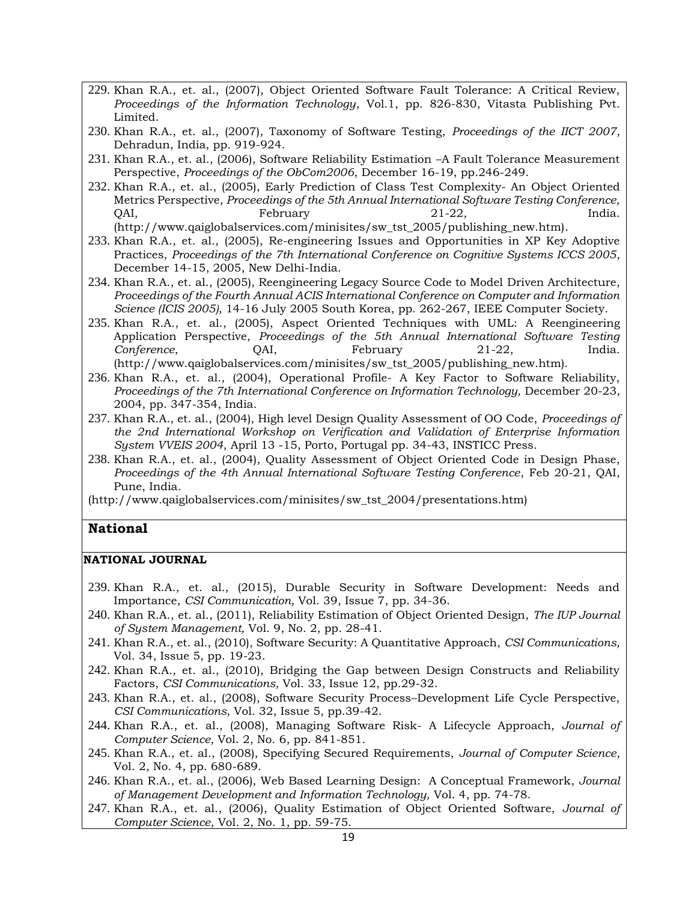- 229. Khan R.A., et. al., (2007), Object Oriented Software Fault Tolerance: A Critical Review, *Proceedings of the Information Technology*, Vol.1, pp. 826-830, Vitasta Publishing Pvt. Limited.
- 230. Khan R.A., et. al., (2007), Taxonomy of Software Testing, *Proceedings of the IICT 2007*, Dehradun, India, pp. 919-924.
- 231. Khan R.A., et. al., (2006), Software Reliability Estimation –A Fault Tolerance Measurement Perspective, *Proceedings of the ObCom2006*, December 16-19, pp.246-249.
- 232. Khan R.A., et. al., (2005), Early Prediction of Class Test Complexity- An Object Oriented Metrics Perspective, *Proceedings of the 5th Annual International Software Testing Conference,* QAI, February 21-22, India. (http://www.qaiglobalservices.com/minisites/sw\_tst\_2005/publishing\_new.htm).
- 233. Khan R.A., et. al., (2005), Re-engineering Issues and Opportunities in XP Key Adoptive Practices, *Proceedings of the 7th International Conference on Cognitive Systems ICCS 2005*, December 14-15, 2005, New Delhi-India.
- 234. Khan R.A., et. al., (2005), Reengineering Legacy Source Code to Model Driven Architecture, *Proceedings of the Fourth Annual ACIS International Conference on Computer and Information Science (ICIS 2005),* 14-16 July 2005 South Korea, pp. 262-267, IEEE Computer Society.
- 235. Khan R.A., et. al., (2005), Aspect Oriented Techniques with UML: A Reengineering Application Perspective, *Proceedings of the 5th Annual International Software Testing Conference*, QAI, February 21-22, India. (http://www.qaiglobalservices.com/minisites/sw\_tst\_2005/publishing\_new.htm).
- 236. Khan R.A., et. al., (2004), Operational Profile- A Key Factor to Software Reliability, *Proceedings of the 7th International Conference on Information Technology,* December 20-23, 2004, pp. 347-354, India.
- 237. Khan R.A., et. al., (2004), High level Design Quality Assessment of OO Code, *Proceedings of the 2nd International Workshop on Verification and Validation of Enterprise Information System VVEIS 2004*, April 13 -15, Porto, Portugal pp. 34-43, INSTICC Press.
- 238. Khan R.A., et. al., (2004), Quality Assessment of Object Oriented Code in Design Phase, *Proceedings of the 4th Annual International Software Testing Conference*, Feb 20-21, QAI, Pune, India.

(http://www.qaiglobalservices.com/minisites/sw\_tst\_2004/presentations.htm)

# **National**

#### **NATIONAL JOURNAL**

- 239. Khan R.A., et. al., (2015), Durable Security in Software Development: Needs and Importance, *CSI Communication,* Vol. 39, Issue 7, pp. 34-36.
- 240. Khan R.A., et. al., (2011), Reliability Estimation of Object Oriented Design, *The IUP Journal of System Management,* Vol. 9, No. 2, pp. 28-41.
- 241. Khan R.A., et. al., (2010), Software Security: A Quantitative Approach, *CSI Communications,*  Vol. 34, Issue 5, pp. 19-23.
- 242. Khan R.A., et. al., (2010), Bridging the Gap between Design Constructs and Reliability Factors, *CSI Communications,* Vol. 33, Issue 12, pp.29-32.
- 243. Khan R.A., et. al., (2008), Software Security Process–Development Life Cycle Perspective, *CSI Communications,* Vol. 32, Issue 5, pp.39-42.
- 244. Khan R.A., et. al., (2008), Managing Software Risk- A Lifecycle Approach, *Journal of Computer Science,* Vol. 2, No. 6, pp. 841-851.
- 245. Khan R.A., et. al., (2008), Specifying Secured Requirements, *Journal of Computer Science*, Vol. 2, No. 4, pp. 680-689.
- 246. Khan R.A., et. al., (2006), Web Based Learning Design: A Conceptual Framework, *Journal of Management Development and Information Technology,* Vol. 4, pp. 74-78.
- 247. Khan R.A., et. al., (2006), Quality Estimation of Object Oriented Software, *Journal of Computer Science*, Vol. 2, No. 1, pp. 59-75.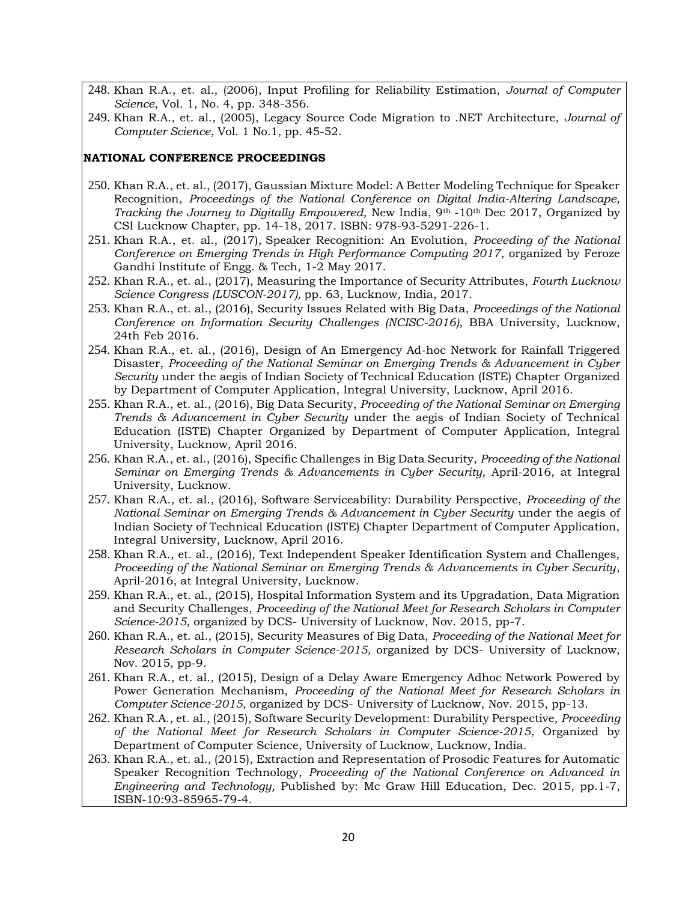- 248. Khan R.A., et. al., (2006), Input Profiling for Reliability Estimation, *Journal of Computer Science*, Vol. 1, No. 4, pp. 348-356.
- 249. Khan R.A., et. al., (2005), Legacy Source Code Migration to .NET Architecture, *Journal of Computer Science*, Vol. 1 No.1, pp. 45-52.

#### **NATIONAL CONFERENCE PROCEEDINGS**

- 250. Khan R.A., et. al., (2017), Gaussian Mixture Model: A Better Modeling Technique for Speaker Recognition, *Proceedings of the National Conference on Digital India-Altering Landscape, Tracking the Journey to Digitally Empowered,* New India, 9th -10th Dec 2017, Organized by CSI Lucknow Chapter, pp. 14-18, 2017. ISBN: 978-93-5291-226-1.
- 251. Khan R.A., et. al., (2017), Speaker Recognition: An Evolution, *Proceeding of the National Conference on Emerging Trends in High Performance Computing 2017*, organized by Feroze Gandhi Institute of Engg. & Tech, 1-2 May 2017.
- 252. Khan R.A., et. al., (2017), Measuring the Importance of Security Attributes, *Fourth Lucknow Science Congress (LUSCON-2017),* pp. 63, Lucknow, India, 2017.
- 253. Khan R.A., et. al., (2016), Security Issues Related with Big Data, *Proceedings of the National Conference on Information Security Challenges (NCISC-2016)*, BBA University, Lucknow, 24th Feb 2016.
- 254. Khan R.A., et. al., (2016), Design of An Emergency Ad-hoc Network for Rainfall Triggered Disaster, *Proceeding of the National Seminar on Emerging Trends & Advancement in Cyber Security* under the aegis of Indian Society of Technical Education (ISTE) Chapter Organized by Department of Computer Application, Integral University, Lucknow, April 2016.
- 255. Khan R.A., et. al., (2016), Big Data Security, *Proceeding of the National Seminar on Emerging Trends & Advancement in Cyber Security* under the aegis of Indian Society of Technical Education (ISTE) Chapter Organized by Department of Computer Application, Integral University, Lucknow, April 2016.
- 256. Khan R.A., et. al., (2016), Specific Challenges in Big Data Security, *Proceeding of the National Seminar on Emerging Trends & Advancements in Cyber Security, April-2016, at Integral* University, Lucknow.
- 257. Khan R.A., et. al., (2016), Software Serviceability: Durability Perspective, *Proceeding of the National Seminar on Emerging Trends & Advancement in Cyber Security* under the aegis of Indian Society of Technical Education (ISTE) Chapter Department of Computer Application, Integral University, Lucknow, April 2016.
- 258. Khan R.A., et. al., (2016), Text Independent Speaker Identification System and Challenges, *Proceeding of the National Seminar on Emerging Trends & Advancements in Cyber Security*, April-2016, at Integral University, Lucknow.
- 259. Khan R.A., et. al., (2015), Hospital Information System and its Upgradation, Data Migration and Security Challenges, *Proceeding of the National Meet for Research Scholars in Computer Science-2015*, organized by DCS- University of Lucknow, Nov. 2015, pp-7.
- 260. Khan R.A., et. al., (2015), Security Measures of Big Data, *Proceeding of the National Meet for Research Scholars in Computer Science-2015,* organized by DCS- University of Lucknow, Nov. 2015, pp-9.
- 261. Khan R.A., et. al., (2015), Design of a Delay Aware Emergency Adhoc Network Powered by Power Generation Mechanism, *Proceeding of the National Meet for Research Scholars in Computer Science-2015,* organized by DCS- University of Lucknow, Nov. 2015, pp-13.
- 262. Khan R.A., et. al., (2015), Software Security Development: Durability Perspective, *Proceeding of the National Meet for Research Scholars in Computer Science-2015*, Organized by Department of Computer Science, University of Lucknow, Lucknow, India.
- 263. Khan R.A., et. al., (2015), Extraction and Representation of Prosodic Features for Automatic Speaker Recognition Technology, *Proceeding of the National Conference on Advanced in Engineering and Technology,* Published by: Mc Graw Hill Education, Dec. 2015, pp.1-7, ISBN-10:93-85965-79-4.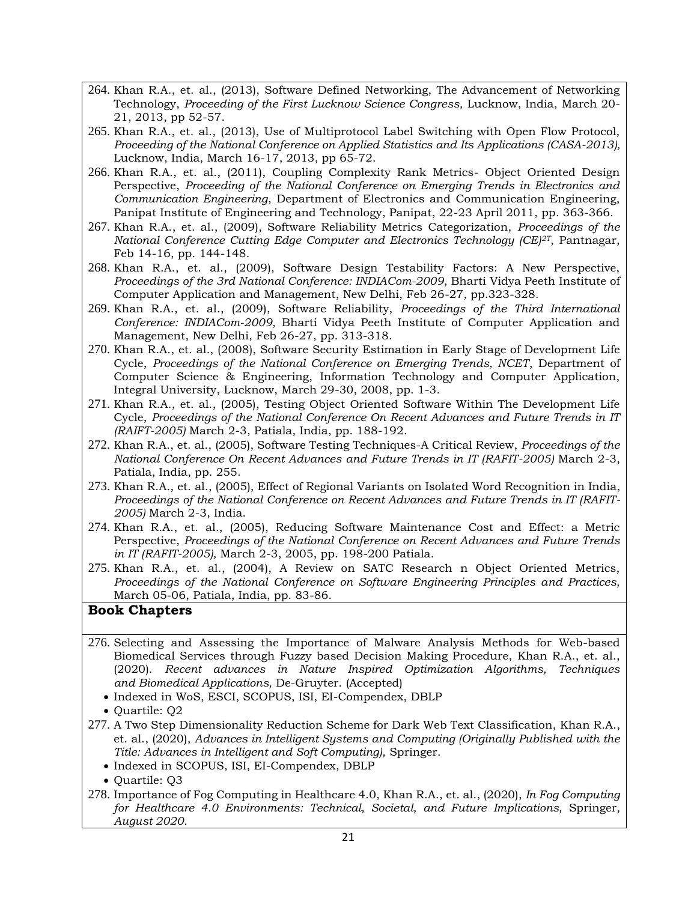- 264. Khan R.A., et. al., (2013), Software Defined Networking, The Advancement of Networking Technology, *Proceeding of the First Lucknow Science Congress,* Lucknow, India, March 20- 21, 2013, pp 52-57.
- 265. Khan R.A., et. al., (2013), Use of Multiprotocol Label Switching with Open Flow Protocol, *Proceeding of the National Conference on Applied Statistics and Its Applications (CASA-2013),* Lucknow, India, March 16-17, 2013, pp 65-72.
- 266. Khan R.A., et. al., (2011), Coupling Complexity Rank Metrics- Object Oriented Design Perspective, *Proceeding of the National Conference on Emerging Trends in Electronics and Communication Engineering*, Department of Electronics and Communication Engineering, Panipat Institute of Engineering and Technology, Panipat, 22-23 April 2011, pp. 363-366.
- 267. Khan R.A., et. al., (2009), Software Reliability Metrics Categorization, *Proceedings of the National Conference Cutting Edge Computer and Electronics Technology (CE)2T*, Pantnagar, Feb 14-16, pp. 144-148.
- 268. Khan R.A., et. al., (2009), Software Design Testability Factors: A New Perspective, *Proceedings of the 3rd National Conference: INDIACom-2009*, Bharti Vidya Peeth Institute of Computer Application and Management, New Delhi, Feb 26-27, pp.323-328.
- 269. Khan R.A., et. al., (2009), Software Reliability, *Proceedings of the Third International Conference: INDIACom-2009,* Bharti Vidya Peeth Institute of Computer Application and Management, New Delhi, Feb 26-27, pp. 313-318.
- 270. Khan R.A., et. al., (2008), Software Security Estimation in Early Stage of Development Life Cycle, *Proceedings of the National Conference on Emerging Trends, NCET*, Department of Computer Science & Engineering, Information Technology and Computer Application, Integral University, Lucknow, March 29-30, 2008, pp. 1-3.
- 271. Khan R.A., et. al., (2005), Testing Object Oriented Software Within The Development Life Cycle, *Proceedings of the National Conference On Recent Advances and Future Trends in IT (RAIFT-2005)* March 2-3, Patiala, India, pp. 188-192.
- 272. Khan R.A., et. al., (2005), Software Testing Techniques-A Critical Review, *Proceedings of the National Conference On Recent Advances and Future Trends in IT (RAFIT-2005)* March 2-3, Patiala, India, pp. 255.
- 273. Khan R.A., et. al., (2005), Effect of Regional Variants on Isolated Word Recognition in India, *Proceedings of the National Conference on Recent Advances and Future Trends in IT (RAFIT-2005)* March 2-3, India.
- 274. Khan R.A., et. al., (2005), Reducing Software Maintenance Cost and Effect: a Metric Perspective, *Proceedings of the National Conference on Recent Advances and Future Trends in IT (RAFIT-2005),* March 2-3, 2005, pp. 198-200 Patiala.
- 275. Khan R.A., et. al., (2004), A Review on SATC Research n Object Oriented Metrics, *Proceedings of the National Conference on Software Engineering Principles and Practices,* March 05-06, Patiala, India, pp. 83-86.

# **Book Chapters**

- 276. Selecting and Assessing the Importance of Malware Analysis Methods for Web-based Biomedical Services through Fuzzy based Decision Making Procedure, Khan R.A., et. al., (2020). *Recent advances in Nature Inspired Optimization Algorithms, Techniques and Biomedical Applications,* De-Gruyter. (Accepted)
	- Indexed in WoS, ESCI, SCOPUS, ISI, EI-Compendex, DBLP
	- Quartile: Q2
- 277. A Two Step Dimensionality Reduction Scheme for Dark Web Text Classification, Khan R.A., et. al., (2020), *Advances in Intelligent Systems and Computing (Originally Published with the Title: Advances in Intelligent and Soft Computing),* Springer.
	- Indexed in SCOPUS, ISI, EI-Compendex, DBLP
	- Quartile: Q3
- 278. Importance of Fog Computing in Healthcare 4.0, Khan R.A., et. al., (2020), *In Fog Computing for Healthcare 4.0 Environments: Technical, Societal, and Future Implications,* Springer*, August 2020.*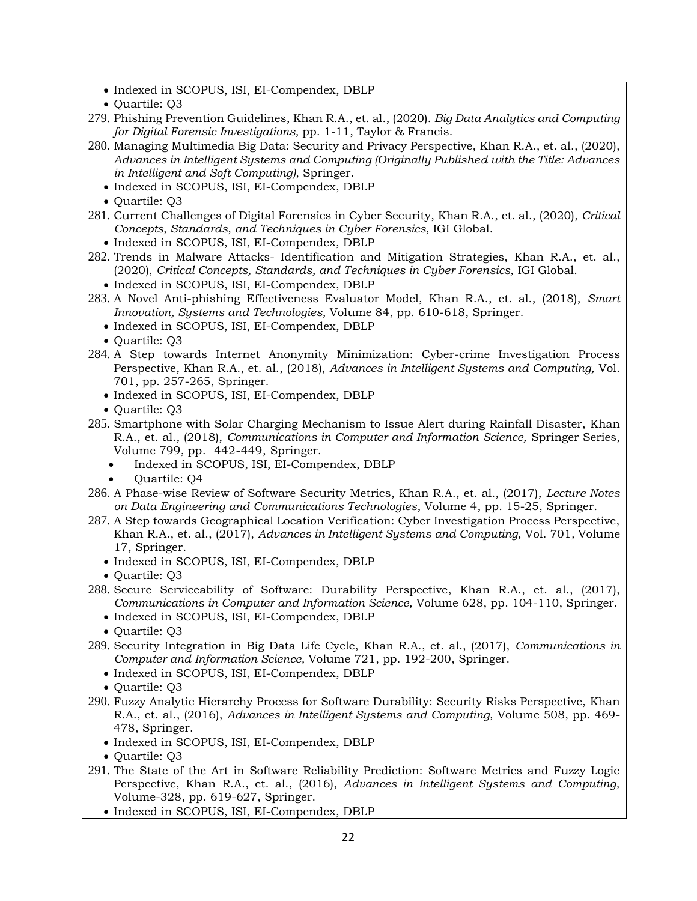• Indexed in SCOPUS, ISI, EI-Compendex, DBLP

- 279. Phishing Prevention Guidelines, Khan R.A., et. al., (2020). *Big Data Analytics and Computing for Digital Forensic Investigations,* pp. 1-11, Taylor & Francis.
- 280. Managing Multimedia Big Data: Security and Privacy Perspective, Khan R.A., et. al., (2020), *Advances in Intelligent Systems and Computing (Originally Published with the Title: Advances in Intelligent and Soft Computing),* Springer.
	- Indexed in SCOPUS, ISI, EI-Compendex, DBLP
	- Quartile: Q3
- 281. Current Challenges of Digital Forensics in Cyber Security, Khan R.A., et. al., (2020), *Critical Concepts, Standards, and Techniques in Cyber Forensics,* IGI Global.
	- Indexed in SCOPUS, ISI, EI-Compendex, DBLP
- 282. Trends in Malware Attacks- Identification and Mitigation Strategies, Khan R.A., et. al., (2020), *Critical Concepts, Standards, and Techniques in Cyber Forensics,* IGI Global.
	- Indexed in SCOPUS, ISI, EI-Compendex, DBLP
- 283. A Novel Anti-phishing Effectiveness Evaluator Model, Khan R.A., et. al., (2018), *Smart Innovation, Systems and Technologies,* Volume 84, pp. 610-618, Springer.
	- Indexed in SCOPUS, ISI, EI-Compendex, DBLP
	- Quartile: Q3
- 284. A Step towards Internet Anonymity Minimization: Cyber-crime Investigation Process Perspective, Khan R.A., et. al., (2018), *Advances in Intelligent Systems and Computing,* Vol. 701, pp. 257-265, Springer.
	- Indexed in SCOPUS, ISI, EI-Compendex, DBLP
	- Quartile: Q3
- 285. Smartphone with Solar Charging Mechanism to Issue Alert during Rainfall Disaster, Khan R.A., et. al., (2018), *Communications in Computer and Information Science,* Springer Series, Volume 799, pp. 442-449, Springer.
	- Indexed in SCOPUS, ISI, EI-Compendex, DBLP
	- Quartile: Q4
- 286. A Phase-wise Review of Software Security Metrics, Khan R.A., et. al., (2017), *Lecture Notes on Data Engineering and Communications Technologies*, Volume 4, pp. 15-25, Springer.
- 287. A Step towards Geographical Location Verification: Cyber Investigation Process Perspective, Khan R.A., et. al., (2017), *Advances in Intelligent Systems and Computing,* Vol. 701*,* Volume 17, Springer.
	- Indexed in SCOPUS, ISI, EI-Compendex, DBLP
	- Quartile: Q3
- 288. Secure Serviceability of Software: Durability Perspective, Khan R.A., et. al., (2017), *Communications in Computer and Information Science,* Volume 628, pp. 104-110, Springer.
	- Indexed in SCOPUS, ISI, EI-Compendex, DBLP
	- Quartile: Q3
- 289. Security Integration in Big Data Life Cycle, Khan R.A., et. al., (2017), *Communications in Computer and Information Science,* Volume 721, pp. 192-200, Springer.
	- Indexed in SCOPUS, ISI, EI-Compendex, DBLP
	- Quartile: Q3
- 290. Fuzzy Analytic Hierarchy Process for Software Durability: Security Risks Perspective, Khan R.A., et. al., (2016), *Advances in Intelligent Systems and Computing,* Volume 508, pp. 469- 478, Springer.
	- Indexed in SCOPUS, ISI, EI-Compendex, DBLP
	- Quartile: Q3
- 291. The State of the Art in Software Reliability Prediction: Software Metrics and Fuzzy Logic Perspective, Khan R.A., et. al., (2016), *Advances in Intelligent Systems and Computing,* Volume-328, pp. 619-627, Springer.
	- Indexed in SCOPUS, ISI, EI-Compendex, DBLP

<sup>•</sup> Quartile: Q3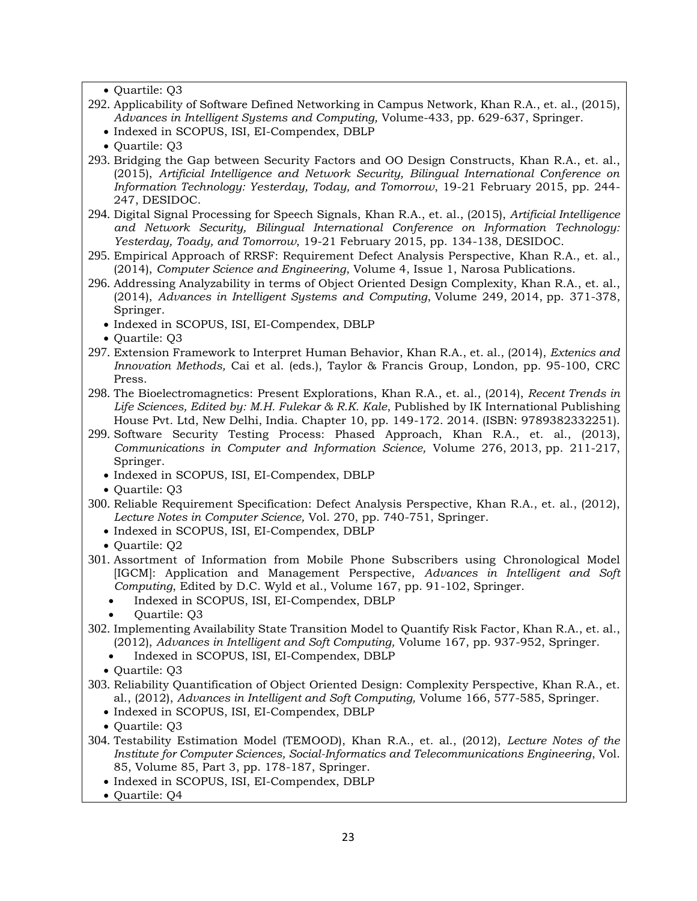• Quartile: Q3

- 292. Applicability of Software Defined Networking in Campus Network, Khan R.A., et. al., (2015), *Advances in Intelligent Systems and Computing,* Volume-433, pp. 629-637, Springer.
	- Indexed in SCOPUS, ISI, EI-Compendex, DBLP

- 293. Bridging the Gap between Security Factors and OO Design Constructs, Khan R.A., et. al., (2015), *Artificial Intelligence and Network Security, Bilingual International Conference on Information Technology: Yesterday, Today, and Tomorrow*, 19-21 February 2015, pp. 244- 247, DESIDOC.
- 294. Digital Signal Processing for Speech Signals, Khan R.A., et. al., (2015), *Artificial Intelligence and Network Security, Bilingual International Conference on Information Technology: Yesterday, Toady, and Tomorrow*, 19-21 February 2015, pp. 134-138, DESIDOC.
- 295. Empirical Approach of RRSF: Requirement Defect Analysis Perspective, Khan R.A., et. al., (2014), *Computer Science and Engineering*, Volume 4, Issue 1, Narosa Publications.
- 296. Addressing Analyzability in terms of Object Oriented Design Complexity, Khan R.A., et. al., (2014), *Advances in Intelligent Systems and Computing*, Volume 249, 2014, pp. 371-378, Springer.
	- Indexed in SCOPUS, ISI, EI-Compendex, DBLP
	- Quartile: Q3
- 297. Extension Framework to Interpret Human Behavior, Khan R.A., et. al., (2014), *Extenics and Innovation Methods,* Cai et al. (eds.), Taylor & Francis Group, London, pp. 95-100, CRC Press.
- 298. The Bioelectromagnetics: Present Explorations, Khan R.A., et. al., (2014), *Recent Trends in Life Sciences, Edited by: M.H. Fulekar & R.K. Kale*, Published by IK International Publishing House Pvt. Ltd, New Delhi, India. Chapter 10, pp. 149-172. 2014. (ISBN: 9789382332251).
- 299. Software Security Testing Process: Phased Approach, Khan R.A., et. al., (2013), *Communications in Computer and Information Science,* Volume 276, 2013, pp. 211-217, Springer.
	- Indexed in SCOPUS, ISI, EI-Compendex, DBLP
	- Quartile: Q3
- 300. Reliable Requirement Specification: Defect Analysis Perspective, Khan R.A., et. al., (2012), *Lecture Notes in Computer Science,* Vol. 270, pp. 740-751, Springer.
	- Indexed in SCOPUS, ISI, EI-Compendex, DBLP
	- Quartile: Q2
- 301. Assortment of Information from Mobile Phone Subscribers using Chronological Model [IGCM]: Application and Management Perspective, *Advances in Intelligent and Soft Computing*, Edited by D.C. Wyld et al., Volume 167, pp. 91-102, Springer.
	- Indexed in SCOPUS, ISI, EI-Compendex, DBLP
	- Quartile: Q3
- 302. Implementing Availability State Transition Model to Quantify Risk Factor, Khan R.A., et. al., (2012), *Advances in Intelligent and Soft Computing,* Volume 167, pp. 937-952, Springer.
	- Indexed in SCOPUS, ISI, EI-Compendex, DBLP
	- Quartile: Q3
- 303. Reliability Quantification of Object Oriented Design: Complexity Perspective, Khan R.A., et. al., (2012), *Advances in Intelligent and Soft Computing,* Volume 166, 577-585, Springer.
	- Indexed in SCOPUS, ISI, EI-Compendex, DBLP
	- Quartile: Q3
- 304. Testability Estimation Model (TEMOOD), Khan R.A., et. al., (2012), *Lecture Notes of the Institute for Computer Sciences, Social-Informatics and Telecommunications Engineering*, Vol. 85, Volume 85, Part 3, pp. 178-187, Springer.
	- Indexed in SCOPUS, ISI, EI-Compendex, DBLP
	- Quartile: Q4

<sup>•</sup> Quartile: Q3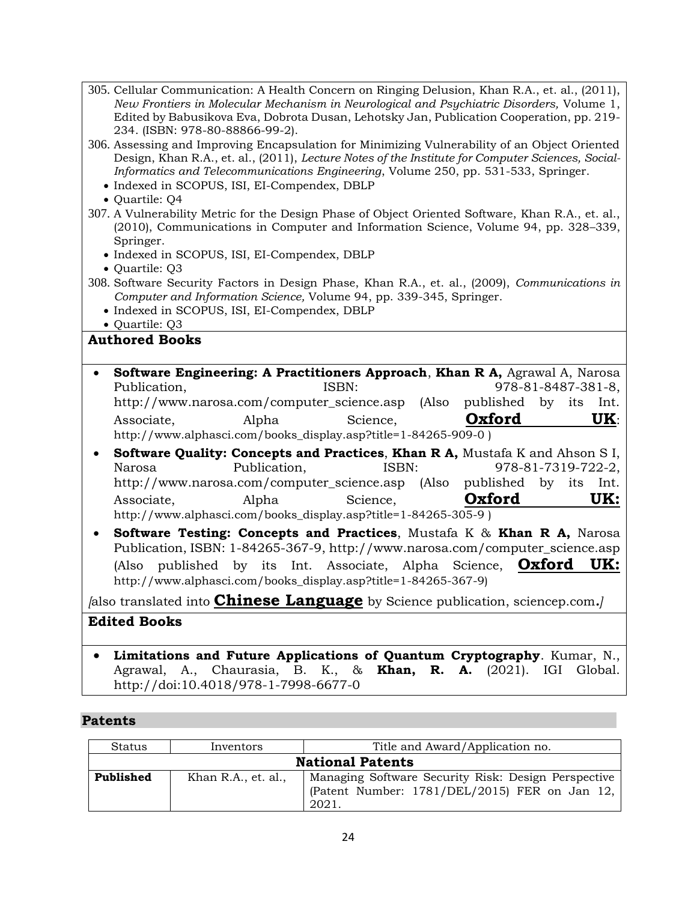| 305. Cellular Communication: A Health Concern on Ringing Delusion, Khan R.A., et. al., (2011),<br>New Frontiers in Molecular Mechanism in Neurological and Psychiatric Disorders, Volume 1,<br>Edited by Babusikova Eva, Dobrota Dusan, Lehotsky Jan, Publication Cooperation, pp. 219-<br>234. (ISBN: 978-80-88866-99-2).                                 |
|------------------------------------------------------------------------------------------------------------------------------------------------------------------------------------------------------------------------------------------------------------------------------------------------------------------------------------------------------------|
| 306. Assessing and Improving Encapsulation for Minimizing Vulnerability of an Object Oriented<br>Design, Khan R.A., et. al., (2011), Lecture Notes of the Institute for Computer Sciences, Social-<br>Informatics and Telecommunications Engineering, Volume 250, pp. 531-533, Springer.<br>• Indexed in SCOPUS, ISI, EI-Compendex, DBLP<br>• Quartile: Q4 |
| 307. A Vulnerability Metric for the Design Phase of Object Oriented Software, Khan R.A., et. al.,<br>(2010), Communications in Computer and Information Science, Volume 94, pp. 328–339,<br>Springer.<br>• Indexed in SCOPUS, ISI, EI-Compendex, DBLP<br>• Quartile: Q3                                                                                    |
| 308. Software Security Factors in Design Phase, Khan R.A., et. al., (2009), Communications in<br>Computer and Information Science, Volume 94, pp. 339-345, Springer.<br>• Indexed in SCOPUS, ISI, EI-Compendex, DBLP<br>• Quartile: Q3                                                                                                                     |
| <b>Authored Books</b>                                                                                                                                                                                                                                                                                                                                      |
| Software Engineering: A Practitioners Approach, Khan R A, Agrawal A, Narosa<br>ISBN:<br>Publication,<br>978-81-8487-381-8,<br>http://www.narosa.com/computer_science.asp (Also published by its Int.<br>Oxford<br>UK:<br>Science,<br>Associate,<br>Alpha<br>http://www.alphasci.com/books_display.asp?title=1-84265-909-0)                                 |
| Software Quality: Concepts and Practices, Khan R A, Mustafa K and Ahson S I,<br>Publication,<br>978-81-7319-722-2,<br>ISBN:<br>Narosa<br>http://www.narosa.com/computer_science.asp (Also published<br>by its<br>Int.<br>UK:<br>Oxford<br>Alpha<br>Science,<br>Associate,<br>http://www.alphasci.com/books_display.asp?title=1-84265-305-9)                |
| <b>Software Testing: Concepts and Practices</b> , Mustafa K & Khan R A, Narosa<br>Publication, ISBN: 1-84265-367-9, http://www.narosa.com/computer_science.asp<br>Oxford<br>UK:<br>published by its Int. Associate, Alpha Science,<br>(Also<br>http://www.alphasci.com/books_display.asp?title=1-84265-367-9)                                              |
| <i>Also translated into</i> <b>Chinese Language</b> by Science publication, sciencep.com.                                                                                                                                                                                                                                                                  |
| <b>Edited Books</b>                                                                                                                                                                                                                                                                                                                                        |
| Limitations and Future Applications of Quantum Cryptography. Kumar, N.,<br>Agrawal, A., Chaurasia, B. K., & Khan, R. A. (2021). IGI<br>Global.                                                                                                                                                                                                             |

http://doi:10.4018/978-1-7998-6677-0

# **Patents**

| Status                  | Inventors           | Title and Award/Application no.                                                                                  |  |
|-------------------------|---------------------|------------------------------------------------------------------------------------------------------------------|--|
| <b>National Patents</b> |                     |                                                                                                                  |  |
| Published               | Khan R.A., et. al., | Managing Software Security Risk: Design Perspective<br>(Patent Number: $1781/DEL/2015$ ) FER on Jan 12,<br>2021. |  |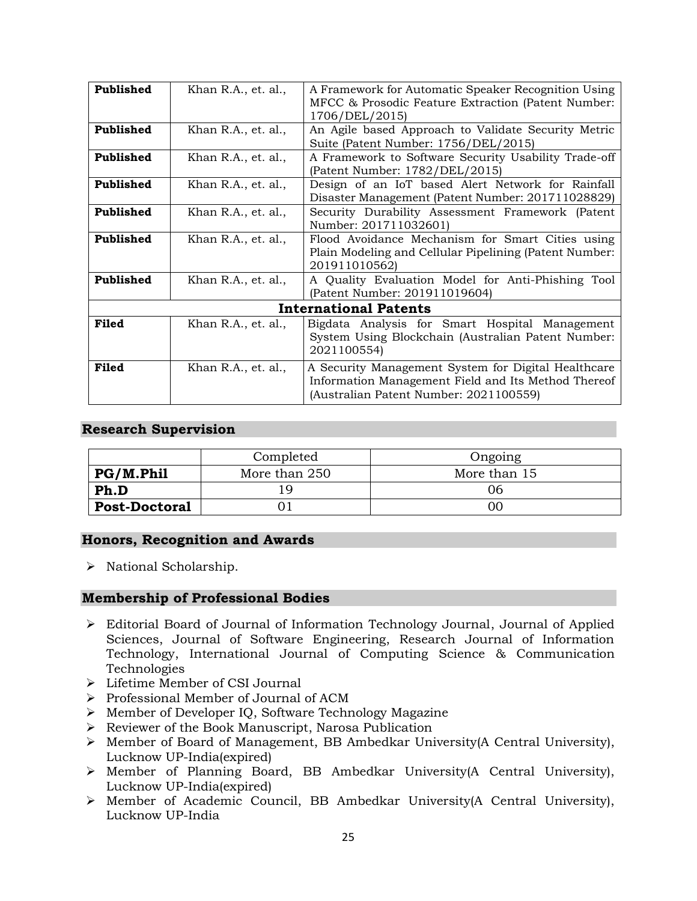| Published    | Khan R.A., et. al., | A Framework for Automatic Speaker Recognition Using<br>MFCC & Prosodic Feature Extraction (Patent Number:<br>1706/DEL/2015)                          |
|--------------|---------------------|------------------------------------------------------------------------------------------------------------------------------------------------------|
| Published    | Khan R.A., et. al., | An Agile based Approach to Validate Security Metric<br>Suite (Patent Number: 1756/DEL/2015)                                                          |
| Published    | Khan R.A., et. al., | A Framework to Software Security Usability Trade-off<br>(Patent Number: 1782/DEL/2015)                                                               |
| Published    | Khan R.A., et. al., | Design of an IoT based Alert Network for Rainfall<br>Disaster Management (Patent Number: 201711028829)                                               |
| Published    | Khan R.A., et. al., | Security Durability Assessment Framework (Patent<br>Number: 201711032601)                                                                            |
| Published    | Khan R.A., et. al., | Flood Avoidance Mechanism for Smart Cities using<br>Plain Modeling and Cellular Pipelining (Patent Number:<br>201911010562)                          |
| Published    | Khan R.A., et. al., | A Quality Evaluation Model for Anti-Phishing Tool<br>(Patent Number: 201911019604)                                                                   |
|              |                     | <b>International Patents</b>                                                                                                                         |
| Filed        | Khan R.A., et. al., | Bigdata Analysis for Smart Hospital Management<br>System Using Blockchain (Australian Patent Number:<br>2021100554)                                  |
| <b>Filed</b> | Khan R.A., et. al., | A Security Management System for Digital Healthcare<br>Information Management Field and Its Method Thereof<br>(Australian Patent Number: 2021100559) |

### **Research Supervision**

|                      | Completed     | Ongoing      |
|----------------------|---------------|--------------|
| PG/M.Phil            | More than 250 | More than 15 |
| Ph.D                 |               | 26           |
| <b>Post-Doctoral</b> |               | ЭO           |

# **Honors, Recognition and Awards**

➢ National Scholarship.

#### **Membership of Professional Bodies**

- ➢ Editorial Board of Journal of Information Technology Journal, Journal of Applied Sciences, Journal of Software Engineering, Research Journal of Information Technology, International Journal of Computing Science & Communication Technologies
- ➢ Lifetime Member of CSI Journal
- ➢ Professional Member of Journal of ACM
- ➢ Member of Developer IQ, Software Technology Magazine
- ➢ Reviewer of the Book Manuscript, Narosa Publication
- ➢ Member of Board of Management, BB Ambedkar University(A Central University), Lucknow UP-India(expired)
- ➢ Member of Planning Board, BB Ambedkar University(A Central University), Lucknow UP-India(expired)
- ➢ Member of Academic Council, BB Ambedkar University(A Central University), Lucknow UP-India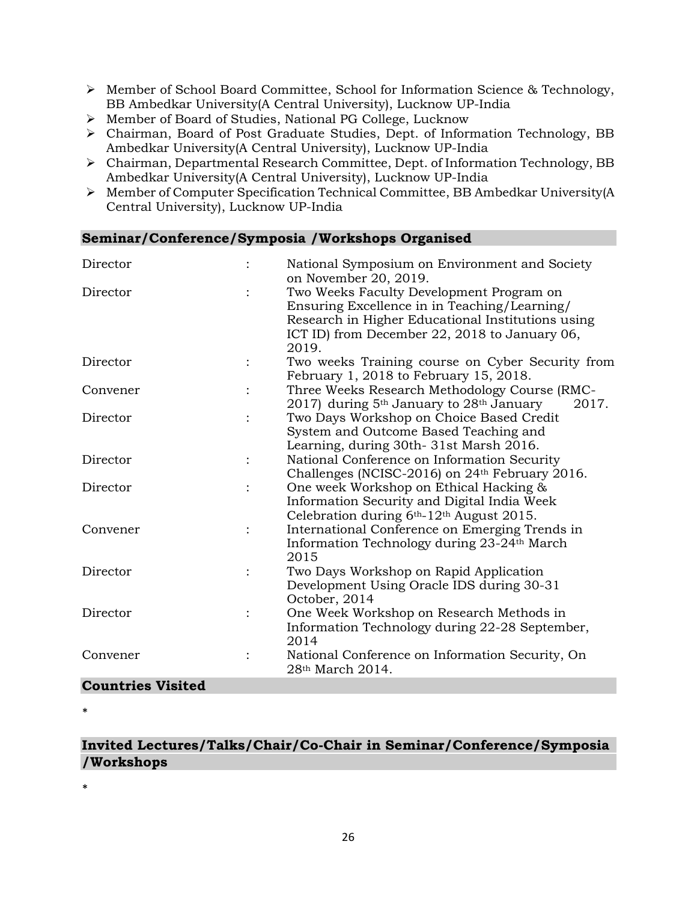- ➢ Member of School Board Committee, School for Information Science & Technology, BB Ambedkar University(A Central University), Lucknow UP-India
- ➢ Member of Board of Studies, National PG College, Lucknow
- ➢ Chairman, Board of Post Graduate Studies, Dept. of Information Technology, BB Ambedkar University(A Central University), Lucknow UP-India
- ➢ Chairman, Departmental Research Committee, Dept. of Information Technology, BB Ambedkar University(A Central University), Lucknow UP-India
- ➢ Member of Computer Specification Technical Committee, BB Ambedkar University(A Central University), Lucknow UP-India

# **Seminar/Conference/Symposia /Workshops Organised**

| Director                 |                      | National Symposium on Environment and Society<br>on November 20, 2019.                                                                                                                         |
|--------------------------|----------------------|------------------------------------------------------------------------------------------------------------------------------------------------------------------------------------------------|
| Director                 |                      | Two Weeks Faculty Development Program on<br>Ensuring Excellence in in Teaching/Learning/<br>Research in Higher Educational Institutions using<br>ICT ID) from December 22, 2018 to January 06, |
| Director                 |                      | 2019.<br>Two weeks Training course on Cyber Security from                                                                                                                                      |
| Convener                 |                      | February 1, 2018 to February 15, 2018.<br>Three Weeks Research Methodology Course (RMC-<br>2017) during 5 <sup>th</sup> January to 28 <sup>th</sup> January<br>2017.                           |
| Director                 | $\ddot{\phantom{0}}$ | Two Days Workshop on Choice Based Credit<br>System and Outcome Based Teaching and                                                                                                              |
| Director                 |                      | Learning, during 30th-31st Marsh 2016.<br>National Conference on Information Security<br>Challenges (NCISC-2016) on 24 <sup>th</sup> February 2016.                                            |
| Director                 | $\ddot{\cdot}$       | One week Workshop on Ethical Hacking &<br>Information Security and Digital India Week<br>Celebration during 6 <sup>th</sup> -12 <sup>th</sup> August 2015.                                     |
| Convener                 | $\ddot{\cdot}$       | International Conference on Emerging Trends in<br>Information Technology during 23-24th March<br>2015                                                                                          |
| Director                 |                      | Two Days Workshop on Rapid Application<br>Development Using Oracle IDS during 30-31<br>October, 2014                                                                                           |
| Director                 |                      | One Week Workshop on Research Methods in<br>Information Technology during 22-28 September,<br>2014                                                                                             |
| Convener                 |                      | National Conference on Information Security, On<br>28th March 2014.                                                                                                                            |
| <b>Countries Visited</b> |                      |                                                                                                                                                                                                |

\*

# **Invited Lectures/Talks/Chair/Co-Chair in Seminar/Conference/Symposia /Workshops**

\*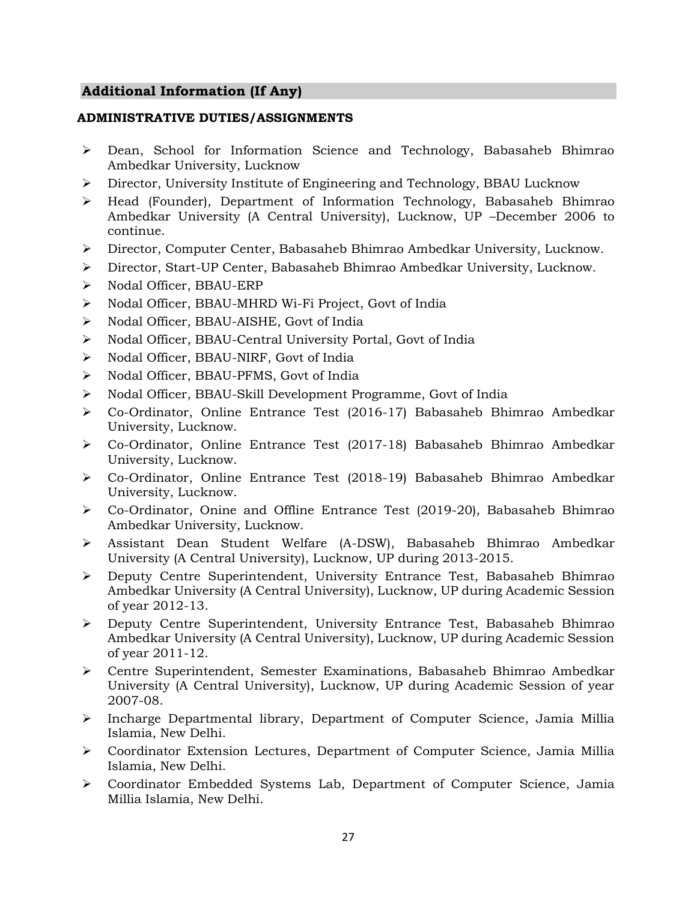# **Additional Information (If Any)**

### **ADMINISTRATIVE DUTIES/ASSIGNMENTS**

- ➢ Dean, School for Information Science and Technology, Babasaheb Bhimrao Ambedkar University, Lucknow
- ➢ Director, University Institute of Engineering and Technology, BBAU Lucknow
- ➢ Head (Founder), Department of Information Technology, Babasaheb Bhimrao Ambedkar University (A Central University), Lucknow, UP –December 2006 to continue.
- ➢ Director, Computer Center, Babasaheb Bhimrao Ambedkar University, Lucknow.
- ➢ Director, Start-UP Center, Babasaheb Bhimrao Ambedkar University, Lucknow.
- ➢ Nodal Officer, BBAU-ERP
- ➢ Nodal Officer, BBAU-MHRD Wi-Fi Project, Govt of India
- ➢ Nodal Officer, BBAU-AISHE, Govt of India
- ➢ Nodal Officer, BBAU-Central University Portal, Govt of India
- ➢ Nodal Officer, BBAU-NIRF, Govt of India
- ➢ Nodal Officer, BBAU-PFMS, Govt of India
- ➢ Nodal Officer, BBAU-Skill Development Programme, Govt of India
- ➢ Co-Ordinator, Online Entrance Test (2016-17) Babasaheb Bhimrao Ambedkar University, Lucknow.
- ➢ Co-Ordinator, Online Entrance Test (2017-18) Babasaheb Bhimrao Ambedkar University, Lucknow.
- ➢ Co-Ordinator, Online Entrance Test (2018-19) Babasaheb Bhimrao Ambedkar University, Lucknow.
- ➢ Co-Ordinator, Onine and Offline Entrance Test (2019-20), Babasaheb Bhimrao Ambedkar University, Lucknow.
- ➢ Assistant Dean Student Welfare (A-DSW), Babasaheb Bhimrao Ambedkar University (A Central University), Lucknow, UP during 2013-2015.
- ➢ Deputy Centre Superintendent, University Entrance Test, Babasaheb Bhimrao Ambedkar University (A Central University), Lucknow, UP during Academic Session of year 2012-13.
- ➢ Deputy Centre Superintendent, University Entrance Test, Babasaheb Bhimrao Ambedkar University (A Central University), Lucknow, UP during Academic Session of year 2011-12.
- ➢ Centre Superintendent, Semester Examinations, Babasaheb Bhimrao Ambedkar University (A Central University), Lucknow, UP during Academic Session of year 2007-08.
- ➢ Incharge Departmental library, Department of Computer Science, Jamia Millia Islamia, New Delhi.
- ➢ Coordinator Extension Lectures, Department of Computer Science, Jamia Millia Islamia, New Delhi.
- ➢ Coordinator Embedded Systems Lab, Department of Computer Science, Jamia Millia Islamia, New Delhi.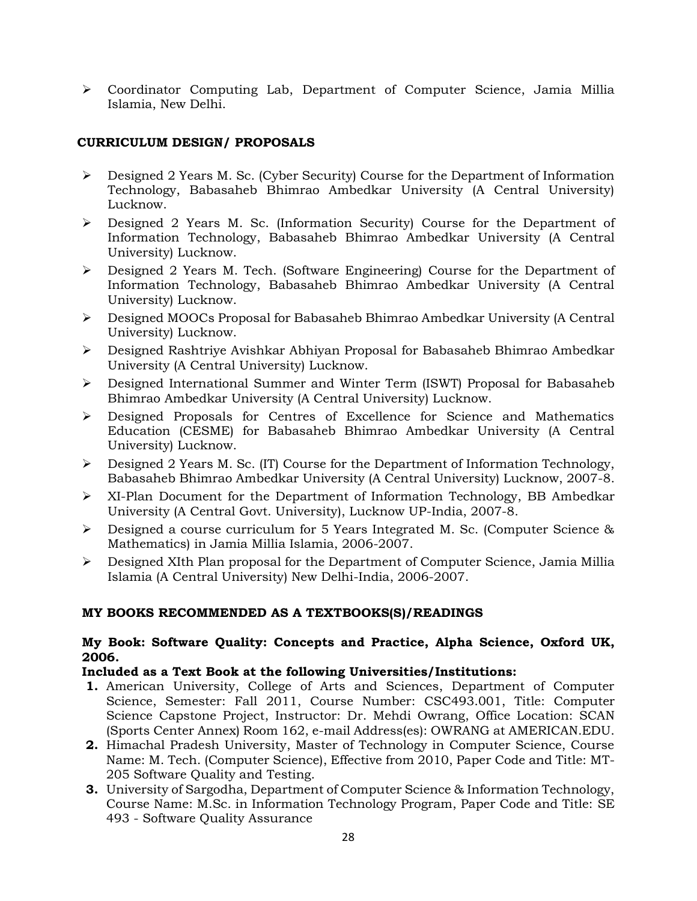➢ Coordinator Computing Lab, Department of Computer Science, Jamia Millia Islamia, New Delhi.

# **CURRICULUM DESIGN/ PROPOSALS**

- ➢ Designed 2 Years M. Sc. (Cyber Security) Course for the Department of Information Technology, Babasaheb Bhimrao Ambedkar University (A Central University) Lucknow.
- ➢ Designed 2 Years M. Sc. (Information Security) Course for the Department of Information Technology, Babasaheb Bhimrao Ambedkar University (A Central University) Lucknow.
- ➢ Designed 2 Years M. Tech. (Software Engineering) Course for the Department of Information Technology, Babasaheb Bhimrao Ambedkar University (A Central University) Lucknow.
- ➢ Designed MOOCs Proposal for Babasaheb Bhimrao Ambedkar University (A Central University) Lucknow.
- ➢ Designed Rashtriye Avishkar Abhiyan Proposal for Babasaheb Bhimrao Ambedkar University (A Central University) Lucknow.
- ➢ Designed International Summer and Winter Term (ISWT) Proposal for Babasaheb Bhimrao Ambedkar University (A Central University) Lucknow.
- ➢ Designed Proposals for Centres of Excellence for Science and Mathematics Education (CESME) for Babasaheb Bhimrao Ambedkar University (A Central University) Lucknow.
- ➢ Designed 2 Years M. Sc. (IT) Course for the Department of Information Technology, Babasaheb Bhimrao Ambedkar University (A Central University) Lucknow, 2007-8.
- $\triangleright$  XI-Plan Document for the Department of Information Technology, BB Ambedkar University (A Central Govt. University), Lucknow UP-India, 2007-8.
- ➢ Designed a course curriculum for 5 Years Integrated M. Sc. (Computer Science & Mathematics) in Jamia Millia Islamia, 2006-2007.
- ➢ Designed XIth Plan proposal for the Department of Computer Science, Jamia Millia Islamia (A Central University) New Delhi-India, 2006-2007.

# **MY BOOKS RECOMMENDED AS A TEXTBOOKS(S)/READINGS**

### **My Book: Software Quality: Concepts and Practice, Alpha Science, Oxford UK, 2006.**

# **Included as a Text Book at the following Universities/Institutions:**

- **1.** American University, College of Arts and Sciences, Department of Computer Science, Semester: Fall 2011, Course Number: CSC493.001, Title: Computer Science Capstone Project, Instructor: Dr. Mehdi Owrang, Office Location: SCAN (Sports Center Annex) Room 162, e-mail Address(es): OWRANG at AMERICAN.EDU.
- **2.** Himachal Pradesh University, Master of Technology in Computer Science, Course Name: M. Tech. (Computer Science), Effective from 2010, Paper Code and Title: MT-205 Software Quality and Testing.
- **3.** University of Sargodha, Department of Computer Science & Information Technology, Course Name: M.Sc. in Information Technology Program, Paper Code and Title: SE 493 - Software Quality Assurance